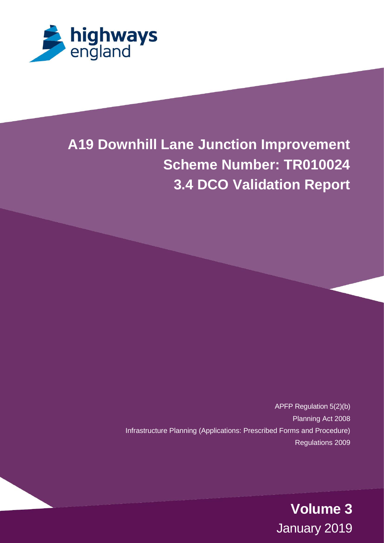

# **A19 Downhill Lane Junction Improvement Scheme Number: TR010024 3.4 DCO Validation Report**

APFP Regulation 5(2)(b) Planning Act 2008 Infrastructure Planning (Applications: Prescribed Forms and Procedure) Regulations 2009

> **Volume 3** January 2019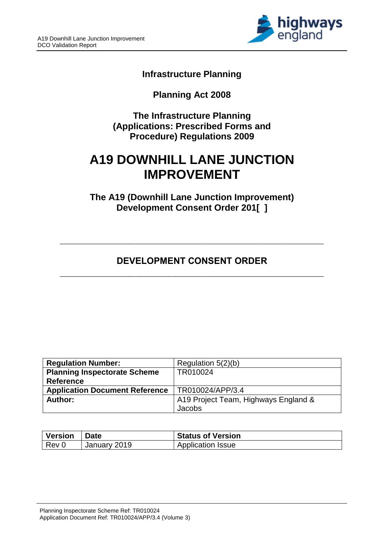

## **Infrastructure Planning**

## **Planning Act 2008**

**The Infrastructure Planning (Applications: Prescribed Forms and Procedure) Regulations 2009**

## **A19 DOWNHILL LANE JUNCTION IMPROVEMENT**

**The A19 (Downhill Lane Junction Improvement) Development Consent Order 201[ ]**

## **DEVELOPMENT CONSENT ORDER \_\_\_\_\_\_\_\_\_\_\_\_\_\_\_\_\_\_\_\_\_\_\_\_\_\_\_\_\_\_\_\_\_\_\_\_\_\_\_\_\_\_\_\_\_\_**

**\_\_\_\_\_\_\_\_\_\_\_\_\_\_\_\_\_\_\_\_\_\_\_\_\_\_\_\_\_\_\_\_\_\_\_\_\_\_\_\_\_\_\_\_\_\_**

| <b>Regulation Number:</b>             | Regulation $5(2)(b)$                 |
|---------------------------------------|--------------------------------------|
| <b>Planning Inspectorate Scheme</b>   | TR010024                             |
| <b>Reference</b>                      |                                      |
| <b>Application Document Reference</b> | TR010024/APP/3.4                     |
| Author:                               | A19 Project Team, Highways England & |
|                                       | Jacobs                               |

| Version   | <b>Date</b>  | <b>Status of Version</b> |
|-----------|--------------|--------------------------|
| $ $ Rev 0 | January 2019 | Application Issue        |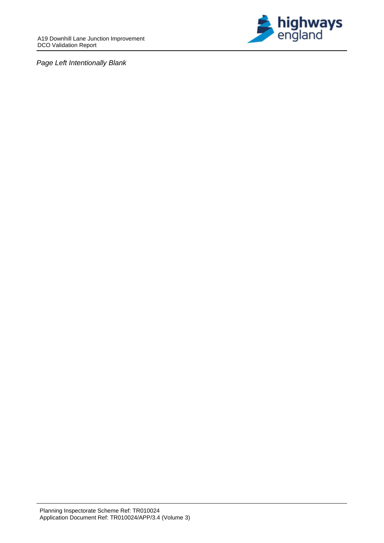

*Page Left Intentionally Blank*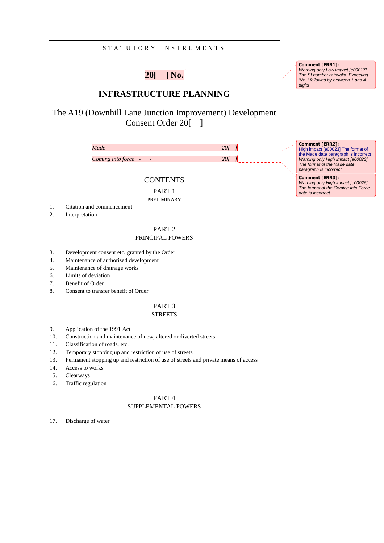## S T A T U T O R Y I N S T R U M E N T S

## **20[ ] No.**

## **Comment [ERR1]:**

Warning only Low impact [e00017] The SI number is invalid. Expecting 'No. ' followed by between 1 and 4 digits

## **INFRASTRUCTURE PLANNING**

The A19 (Downhill Lane Junction Improvement) Development Consent Order 20<sup>[11]</sup>

> *Made - - - - 20[ ] Coming into force - - 20[ ]*

## **CONTENTS**

PART 1

- PRELIMINARY
- 1. Citation and commencement
- 2. Interpretation

## PART 2

## PRINCIPAL POWERS

- 3. Development consent etc. granted by the Order
- 4. Maintenance of authorised development
- 5. Maintenance of drainage works
- 6. Limits of deviation
- 7. Benefit of Order
- 8. Consent to transfer benefit of Order

### PART 3 **STREETS**

- 9. Application of the 1991 Act
- 10. Construction and maintenance of new, altered or diverted streets
- 11. Classification of roads, etc.
- 12. Temporary stopping up and restriction of use of streets
- 13. Permanent stopping up and restriction of use of streets and private means of access
- 14. Access to works
- 15. Clearways
- 16. Traffic regulation

## PART 4 SUPPLEMENTAL POWERS

17. Discharge of water

**Comment [ERR2]:** 

High impact [e00023] The format of the Made date paragraph is incorrect Warning only High impact [e00023] The format of the Made date paragraph is incorrect

**Comment [ERR3]:**  Warning only High impact [e00026] The format of the Coming into Force date is incorrect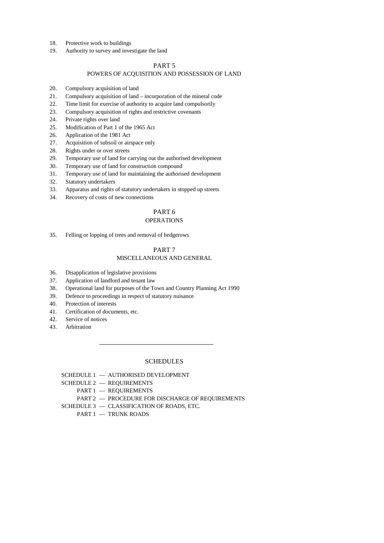- 18. Protective work to buildings
- 19. Authority to survey and investigate the land

## PART 5

## POWERS OF ACQUISITION AND POSSESSION OF LAND

- 20. Compulsory acquisition of land
- 21. Compulsory acquisition of land incorporation of the mineral code
- 22. Time limit for exercise of authority to acquire land compulsorily
- 23. Compulsory acquisition of rights and restrictive covenants
- 24. Private rights over land
- 25. Modification of Part 1 of the 1965 Act
- 26. Application of the 1981 Act
- 27. Acquisition of subsoil or airspace only
- 28. Rights under or over streets
- 29. Temporary use of land for carrying out the authorised development
- 30. Temporary use of land for construction compound
- 31. Temporary use of land for maintaining the authorised development
- 32. Statutory undertakers
- 33. Apparatus and rights of statutory undertakers in stopped up streets
- 34. Recovery of costs of new connections

## PART 6

## OPERATIONS

35. Felling or lopping of trees and removal of hedgerows

## PART 7

## MISCELLANEOUS AND GENERAL

- 36. Disapplication of legislative provisions
- 37. Application of landlord and tenant law
- 38. Operational land for purposes of the Town and Country Planning Act 1990
- 39. Defence to proceedings in respect of statutory nuisance
- 40. Protection of interests
- 41. Certification of documents, etc.
- 42. Service of notices
- 43. Arbitration

### **SCHEDULES**

- SCHEDULE 1 AUTHORISED DEVELOPMENT
- SCHEDULE 2 REQUIREMENTS
	- PART 1 REQUIREMENTS
	- PART 2 PROCEDURE FOR DISCHARGE OF REQUIREMENTS
- SCHEDULE 3 CLASSIFICATION OF ROADS, ETC.
	- PART 1 TRUNK ROADS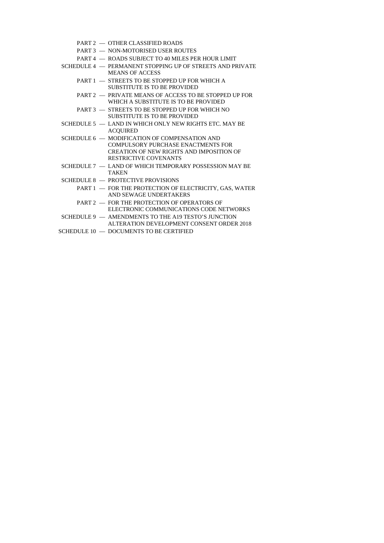- PART 2 OTHER CLASSIFIED ROADS
- PART 3 NON-MOTORISED USER ROUTES
- PART 4 ROADS SUBJECT TO 40 MILES PER HOUR LIMIT
- SCHEDULE 4 PERMANENT STOPPING UP OF STREETS AND PRIVATE MEANS OF ACCESS
	- PART 1 STREETS TO BE STOPPED UP FOR WHICH A SUBSTITUTE IS TO BE PROVIDED
	- PART 2 PRIVATE MEANS OF ACCESS TO BE STOPPED UP FOR WHICH A SUBSTITUTE IS TO BE PROVIDED
	- PART 3 STREETS TO BE STOPPED UP FOR WHICH NO SUBSTITUTE IS TO BE PROVIDED
- SCHEDULE 5 LAND IN WHICH ONLY NEW RIGHTS ETC. MAY BE ACQUIRED
- SCHEDULE 6 MODIFICATION OF COMPENSATION AND COMPULSORY PURCHASE ENACTMENTS FOR CREATION OF NEW RIGHTS AND IMPOSITION OF RESTRICTIVE COVENANTS
- SCHEDULE 7 LAND OF WHICH TEMPORARY POSSESSION MAY BE TAKEN
- SCHEDULE 8 PROTECTIVE PROVISIONS
	- PART 1 FOR THE PROTECTION OF ELECTRICITY, GAS, WATER AND SEWAGE UNDERTAKERS
	- PART 2 FOR THE PROTECTION OF OPERATORS OF ELECTRONIC COMMUNICATIONS CODE NETWORKS
- SCHEDULE 9 AMENDMENTS TO THE A19 TESTO'S JUNCTION ALTERATION DEVELOPMENT CONSENT ORDER 2018
- SCHEDULE 10 DOCUMENTS TO BE CERTIFIED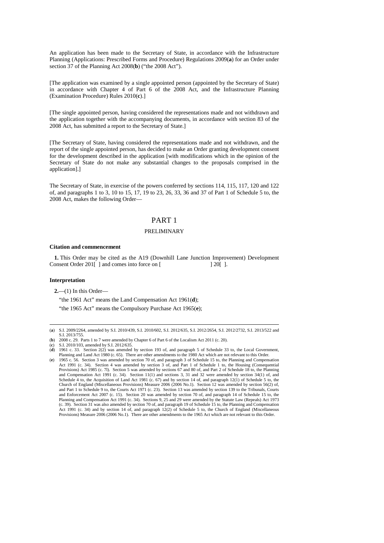An application has been made to the Secretary of State, in accordance with the Infrastructure Planning (Applications: Prescribed Forms and Procedure) Regulations 2009(**a**) for an Order under section 37 of the Planning Act 2008(**b**) ("the 2008 Act").

[The application was examined by a single appointed person (appointed by the Secretary of State) in accordance with Chapter 4 of Part 6 of the 2008 Act, and the Infrastructure Planning (Examination Procedure) Rules 2010(**c**).]

[The single appointed person, having considered the representations made and not withdrawn and the application together with the accompanying documents, in accordance with section 83 of the 2008 Act, has submitted a report to the Secretary of State.]

[The Secretary of State, having considered the representations made and not withdrawn, and the report of the single appointed person, has decided to make an Order granting development consent for the development described in the application [with modifications which in the opinion of the Secretary of State do not make any substantial changes to the proposals comprised in the application].]

The Secretary of State, in exercise of the powers conferred by sections 114, 115, 117, 120 and 122 of, and paragraphs 1 to 3, 10 to 15, 17, 19 to 23, 26, 33, 36 and 37 of Part 1 of Schedule 5 to, the 2008 Act, makes the following Order—

## PART 1

### PRELIMINARY

#### **Citation and commencement**

**1.** This Order may be cited as the A19 (Downhill Lane Junction Improvement) Development Consent Order 201[] and comes into force on [ ] 20[].

#### **Interpretation**

 $\overline{a}$ 

**2.**—(1) In this Order—

"the 1961 Act" means the Land Compensation Act 1961(**d**);

"the 1965 Act" means the Compulsory Purchase Act 1965(**e**);

<sup>(</sup>**a**) S.I. 2009/2264, amended by S.I. 2010/439, S.I. 2010/602, S.I. 2012/635, S.I. 2012/2654, S.I. 2012/2732, S.I. 2013/522 and S.I. 2013/755.

<sup>(</sup>**b**) 2008 c. 29. Parts 1 to 7 were amended by Chapter 6 of Part 6 of the Localism Act 2011 (c. 20).

<sup>(</sup>**c**) S.I. 2010/103, amended by S.I. 2012/635.

<sup>(</sup>**d**) 1961 c. 33. Section 2(2) was amended by section 193 of, and paragraph 5 of Schedule 33 to, the Local Government, Planning and Land Act 1980 (c. 65). There are other amendments to the 1980 Act which are not relevant to this Order.

<sup>(</sup>**e**) 1965 c. 56. Section 3 was amended by section 70 of, and paragraph 3 of Schedule 15 to, the Planning and Compensation Act 1991 (c. 34). Section 4 was amended by section 3 of, and Part 1 of Schedule 1 to, the Housing (Consequential Provisions) Act 1985 (c. 71). Section 5 was amended by sections 67 and 80 of, and Part 2 of Schedule 18 to, the Planning<br>and Compensation Act 1991 (c. 34). Section 11(1) and sections 3, 31 and 32 were amended by section 34 Schedule 4 to, the Acquisition of Land Act 1981 (c. 67) and by section 14 of, and paragraph 12(1) of Schedule 5 to, the Church of England (Miscellaneous Provisions) Measure 2006 (2006 No.1). Section 12 was amended by section 56(2) of, and Part 1 to Schedule 9 to, the Courts Act 1971 (c. 23). Section 13 was amended by section 139 to the Trib and Enforcement Act 2007 (c. 15). Section 20 was amended by section 70 of, and paragraph 14 of Schedule 15 to, the Planning and Compensation Act 1991 (c. 34). Sections 9, 25 and 29 were amended by the Statute Law (Repeals) Act 1973 (c. 39). Section 31 was also amended by section 70 of, and paragraph 19 of Schedule 15 to, the Planning and Compensation<br>Act 1991 (c. 34) and by section 14 of, and paragraph 12(2) of Schedule 5 to, the Church of England (M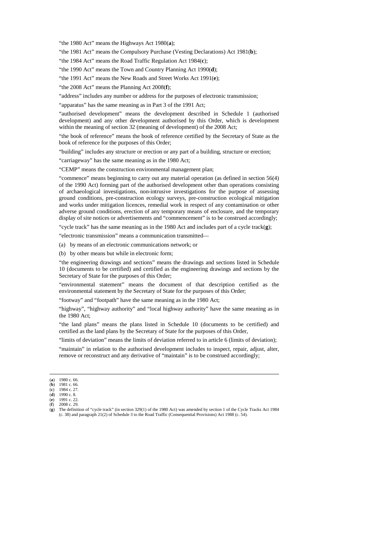"the 1980 Act" means the Highways Act 1980(**a**);

"the 1981 Act" means the Compulsory Purchase (Vesting Declarations) Act 1981(**b**);

"the 1984 Act" means the Road Traffic Regulation Act 1984(**c**);

"the 1990 Act" means the Town and Country Planning Act 1990(**d**);

"the 1991 Act" means the New Roads and Street Works Act 1991(**e**);

"the 2008 Act" means the Planning Act 2008(**f**);

"address" includes any number or address for the purposes of electronic transmission;

"apparatus" has the same meaning as in Part 3 of the 1991 Act;

"authorised development" means the development described in Schedule 1 (authorised development) and any other development authorised by this Order, which is development within the meaning of section 32 (meaning of development) of the 2008 Act;

"the book of reference" means the book of reference certified by the Secretary of State as the book of reference for the purposes of this Order;

"building" includes any structure or erection or any part of a building, structure or erection;

"carriageway" has the same meaning as in the 1980 Act;

"CEMP" means the construction environmental management plan;

"commence" means beginning to carry out any material operation (as defined in section 56(4) of the 1990 Act) forming part of the authorised development other than operations consisting of archaeological investigations, non-intrusive investigations for the purpose of assessing ground conditions, pre-construction ecology surveys, pre-construction ecological mitigation and works under mitigation licences, remedial work in respect of any contamination or other adverse ground conditions, erection of any temporary means of enclosure, and the temporary display of site notices or advertisements and "commencement" is to be construed accordingly;

"cycle track" has the same meaning as in the 1980 Act and includes part of a cycle track(**g**);

"electronic transmission" means a communication transmitted—

(a) by means of an electronic communications network; or

(b) by other means but while in electronic form;

"the engineering drawings and sections" means the drawings and sections listed in Schedule 10 (documents to be certified) and certified as the engineering drawings and sections by the Secretary of State for the purposes of this Order;

"environmental statement" means the document of that description certified as the environmental statement by the Secretary of State for the purposes of this Order;

"footway" and "footpath" have the same meaning as in the 1980 Act;

"highway", "highway authority" and "local highway authority" have the same meaning as in the 1980 Act;

"the land plans" means the plans listed in Schedule 10 (documents to be certified) and certified as the land plans by the Secretary of State for the purposes of this Order,

"limits of deviation" means the limits of deviation referred to in article 6 (limits of deviation);

"maintain" in relation to the authorised development includes to inspect, repair, adjust, alter, remove or reconstruct and any derivative of "maintain" is to be construed accordingly;

-

(**f**) 2008 c. 29.

<sup>(</sup>a) 1980 c. 66

<sup>(</sup>**b**) 1981 c. 66 (**c**) 1984 c. 27.

<sup>(</sup>**d**) 1990 c. 8.

<sup>(</sup>**e**) 1991 c. 22.

<sup>(</sup>**g**) The definition of "cycle track" (in section 329(1) of the 1980 Act) was amended by section 1 of the Cycle Tracks Act 1984 (c. 38) and paragraph 21(2) of Schedule 3 to the Road Traffic (Consequential Provisions) Act 1988 (c. 54).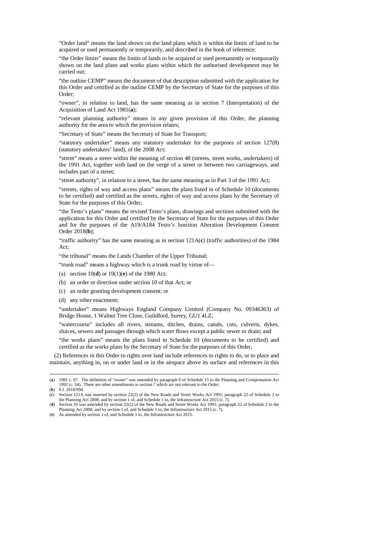"Order land" means the land shown on the land plans which is within the limits of land to be acquired or used permanently or temporarily, and described in the book of reference;

"the Order limits" means the limits of lands to be acquired or used permanently or temporarily shown on the land plans and works plans within which the authorised development may be carried out;

"the outline CEMP" means the document of that description submitted with the application for this Order and certified as the outline CEMP by the Secretary of State for the purposes of this Order;

"owner", in relation to land, has the same meaning as in section 7 (Interpretation) of the Acquisition of Land Act 1981(**a**);

"relevant planning authority" means in any given provision of this Order, the planning authority for the area to which the provision relates;

"Secretary of State" means the Secretary of State for Transport;

"statutory undertaker" means any statutory undertaker for the purposes of section 127(8) (statutory undertakers' land), of the 2008 Act;

"street" means a street within the meaning of section 48 (streets, street works, undertakers) of the 1991 Act, together with land on the verge of a street or between two carriageways, and includes part of a street;

"street authority", in relation to a street, has the same meaning as in Part 3 of the 1991 Act;

"streets, rights of way and access plans" means the plans listed in of Schedule 10 (documents to be certified) and certified as the streets, rights of way and access plans by the Secretary of State for the purposes of this Order;

"the Testo's plans" means the revised Testo's plans, drawings and sections submitted with the application for this Order and certified by the Secretary of State for the purposes of this Order and for the purposes of the A19/A184 Testo's Junction Alteration Development Consent Order 2018(**b**);

"traffic authority" has the same meaning as in section 121A(**c**) (traffic authorities) of the 1984 Act;

"the tribunal" means the Lands Chamber of the Upper Tribunal;

"trunk road" means a highway which is a trunk road by virtue of—

- (a) section 10(**d**) or 19(1)(**e**) of the 1980 Act;
- (b) an order or direction under section 10 of that Act; or
- (c) an order granting development consent; or
- (d) any other enactment;

"undertaker" means Highways England Company Limited (Company No. 09346363) of Bridge House, 1 Walnut Tree Close, Guildford, Surrey, GU1 4LZ;

"watercourse" includes all rivers, streams, ditches, drains, canals, cuts, culverts, dykes, sluices, sewers and passages through which water flows except a public sewer or drain; and

"the works plans" means the plans listed in Schedule 10 (documents to be certified) and certified as the works plans by the Secretary of State for the purposes of this Order,

(2) References in this Order to rights over land include references to rights to do, or to place and maintain, anything in, on or under land or in the airspace above its surface and references in this

-

<sup>(</sup>**a**) 1981 c. 67. The definition of "owner" was amended by paragraph 9 of Schedule 15 to the Planning and Compensation Act 1992 (c. 34). There are other amendments to section 7 which are not relevant to the Order. (**b**) S.I. 2018/994.

<sup>(</sup>**c**) Section 121A was inserted by section 22(2) of the New Roads and Street Works Act 1991; paragraph 22 of Schedule 2 to the Planning Act 2008; and by section 1 of, and Schedule 1 to, the Infrastructure Act 2015 (c. 7).

<sup>(</sup>**d**) Section 10 was amended by section 22(2) of the New Roads and Street Works Act 1991; paragraph 22 of Schedule 2 to the Planning Act 2008; and by section 1 of, and Schedule 1 to, the Infrastructure Act 2015 (c. 7). (**e**) As amended by section 1 of, and Schedule 1 to, the Infrastructure Act 2015.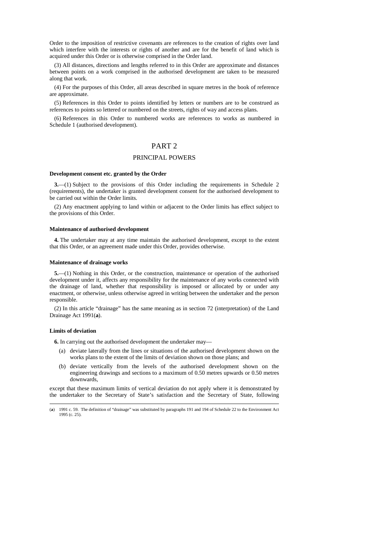Order to the imposition of restrictive covenants are references to the creation of rights over land which interfere with the interests or rights of another and are for the benefit of land which is acquired under this Order or is otherwise comprised in the Order land.

(3) All distances, directions and lengths referred to in this Order are approximate and distances between points on a work comprised in the authorised development are taken to be measured along that work.

(4) For the purposes of this Order, all areas described in square metres in the book of reference are approximate.

(5) References in this Order to points identified by letters or numbers are to be construed as references to points so lettered or numbered on the streets, rights of way and access plans.

(6) References in this Order to numbered works are references to works as numbered in Schedule 1 (authorised development).

### PART 2

### PRINCIPAL POWERS

### **Development consent etc. granted by the Order**

**3.**—(1) Subject to the provisions of this Order including the requirements in Schedule 2 (requirements), the undertaker is granted development consent for the authorised development to be carried out within the Order limits.

(2) Any enactment applying to land within or adjacent to the Order limits has effect subject to the provisions of this Order.

### **Maintenance of authorised development**

**4.** The undertaker may at any time maintain the authorised development, except to the extent that this Order, or an agreement made under this Order, provides otherwise.

### **Maintenance of drainage works**

**5.**—(1) Nothing in this Order, or the construction, maintenance or operation of the authorised development under it, affects any responsibility for the maintenance of any works connected with the drainage of land, whether that responsibility is imposed or allocated by or under any enactment, or otherwise, unless otherwise agreed in writing between the undertaker and the person responsible.

(2) In this article "drainage" has the same meaning as in section 72 (interpretation) of the Land Drainage Act 1991(**a**).

### **Limits of deviation**

-

**6.** In carrying out the authorised development the undertaker may—

- (a) deviate laterally from the lines or situations of the authorised development shown on the works plans to the extent of the limits of deviation shown on those plans; and
- (b) deviate vertically from the levels of the authorised development shown on the engineering drawings and sections to a maximum of 0.50 metres upwards or 0.50 metres downwards,

except that these maximum limits of vertical deviation do not apply where it is demonstrated by the undertaker to the Secretary of State's satisfaction and the Secretary of State, following

<sup>(</sup>**a**) 1991 c. 59. The definition of "drainage" was substituted by paragraphs 191 and 194 of Schedule 22 to the Environment Act 1995 (c. 25).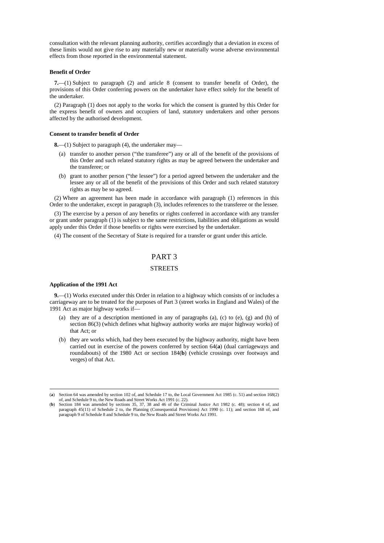consultation with the relevant planning authority, certifies accordingly that a deviation in excess of these limits would not give rise to any materially new or materially worse adverse environmental effects from those reported in the environmental statement.

#### **Benefit of Order**

**7.**—(1) Subject to paragraph (2) and article 8 (consent to transfer benefit of Order), the provisions of this Order conferring powers on the undertaker have effect solely for the benefit of the undertaker.

(2) Paragraph (1) does not apply to the works for which the consent is granted by this Order for the express benefit of owners and occupiers of land, statutory undertakers and other persons affected by the authorised development.

### **Consent to transfer benefit of Order**

**8.**—(1) Subject to paragraph (4), the undertaker may—

- (a) transfer to another person ("the transferee") any or all of the benefit of the provisions of this Order and such related statutory rights as may be agreed between the undertaker and the transferee; or
- (b) grant to another person ("the lessee") for a period agreed between the undertaker and the lessee any or all of the benefit of the provisions of this Order and such related statutory rights as may be so agreed.

(2) Where an agreement has been made in accordance with paragraph (1) references in this Order to the undertaker, except in paragraph (3), includes references to the transferee or the lessee.

(3) The exercise by a person of any benefits or rights conferred in accordance with any transfer or grant under paragraph (1) is subject to the same restrictions, liabilities and obligations as would apply under this Order if those benefits or rights were exercised by the undertaker.

(4) The consent of the Secretary of State is required for a transfer or grant under this article.

## PART 3 **STREETS**

### **Application of the 1991 Act**

-

**9.**—(1) Works executed under this Order in relation to a highway which consists of or includes a carriageway are to be treated for the purposes of Part 3 (street works in England and Wales) of the 1991 Act as major highway works if—

- (a) they are of a description mentioned in any of paragraphs (a), (c) to (e), (g) and (h) of section 86(3) (which defines what highway authority works are major highway works) of that Act; or
- (b) they are works which, had they been executed by the highway authority, might have been carried out in exercise of the powers conferred by section 64(**a**) (dual carriageways and roundabouts) of the 1980 Act or section 184(**b**) (vehicle crossings over footways and verges) of that Act.

<sup>(</sup>**a**) Section 64 was amended by section 102 of, and Schedule 17 to, the Local Government Act 1985 (c. 51) and section 168(2) of, and Schedule 9 to, the New Roads and Street Works Act 1991 (c. 22).

<sup>(</sup>b) Section 184 was amended by sections 35, 37, 38 and 46 of the Criminal Justice Act 1982 (c. 48); section 4 of, and paragraph 45(11) of Schedule 2 to, the Planning (Consequential Provisions) Act 1990 (c. 11); and section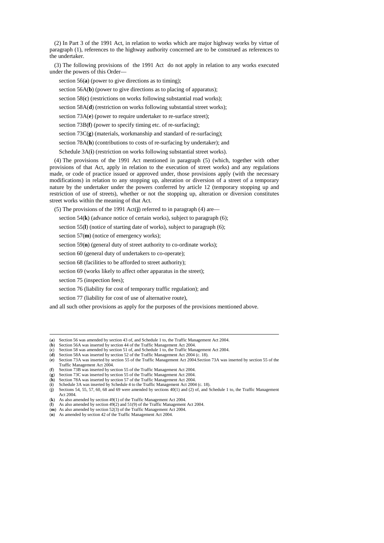(2) In Part 3 of the 1991 Act, in relation to works which are major highway works by virtue of paragraph (1), references to the highway authority concerned are to be construed as references to the undertaker.

(3) The following provisions of the 1991 Act do not apply in relation to any works executed under the powers of this Order—

section 56(**a**) (power to give directions as to timing);

section 56A(**b**) (power to give directions as to placing of apparatus);

section 58(c) (restrictions on works following substantial road works);

section 58A(**d**) (restriction on works following substantial street works);

section 73A(**e**) (power to require undertaker to re-surface street);

section 73B(**f**) (power to specify timing etc. of re-surfacing);

section 73C(**g**) (materials, workmanship and standard of re-surfacing);

section 78A(h) (contributions to costs of re-surfacing by undertaker); and

Schedule 3A(**i**) (restriction on works following substantial street works).

(4) The provisions of the 1991 Act mentioned in paragraph (5) (which, together with other provisions of that Act, apply in relation to the execution of street works) and any regulations made, or code of practice issued or approved under, those provisions apply (with the necessary modifications) in relation to any stopping up, alteration or diversion of a street of a temporary nature by the undertaker under the powers conferred by article 12 (temporary stopping up and restriction of use of streets), whether or not the stopping up, alteration or diversion constitutes street works within the meaning of that Act.

(5) The provisions of the 1991 Act(**j**) referred to in paragraph (4) are—

section 54(**k**) (advance notice of certain works), subject to paragraph (6);

section 55(**l**) (notice of starting date of works), subject to paragraph (6);

section 57(**m**) (notice of emergency works);

section 59(n) (general duty of street authority to co-ordinate works);

section 60 (general duty of undertakers to co-operate):

section 68 (facilities to be afforded to street authority);

section 69 (works likely to affect other apparatus in the street);

section 75 (inspection fees);

 $\overline{a}$ 

section 76 (liability for cost of temporary traffic regulation); and

section 77 (liability for cost of use of alternative route),

and all such other provisions as apply for the purposes of the provisions mentioned above.

- (**b**) Section 56A was inserted by section 44 of the Traffic Management Act 2004.
- (**c**) Section 58 was amended by section 51 of, and Schedule 1 to, the Traffic Management Act 2004. (**d**) Section 58A was inserted by section 52 of the Traffic Management Act 2004 (c. 18).
- (**e**) Section 73A was inserted by section 55 of the Traffic Management Act 2004.Section 73A was inserted by section 55 of the

- (**g**) Section 73C was inserted by section 55 of the Traffic Management Act 2004.
- (**h**) Section 78A was inserted by section 57 of the Traffic Management Act 2004.
- Schedule 3A was inserted by Schedule 4 to the Traffic Management Act 2004 (c. 18).
- $(i)$  Sections 54, 55, 57, 60, 68 and 69 were amended by sections  $40(1)$  and (2) of, and Schedule 1 to, the Traffic Management Act 2004.

(**n**) As amended by section 42 of the Traffic Management Act 2004.

<sup>(</sup>**a**) Section 56 was amended by section 43 of, and Schedule 1 to, the Traffic Management Act 2004.

Traffic Management Act 2004. (**f**) Section 73B was inserted by section 55 of the Traffic Management Act 2004.

<sup>(</sup>**k**) As also amended by section 49(1) of the Traffic Management Act 2004.

<sup>(</sup>**l**) As also amended by section 49(2) and 51(9) of the Traffic Management Act 2004. (**m**) As also amended by section 52(3) of the Traffic Management Act 2004.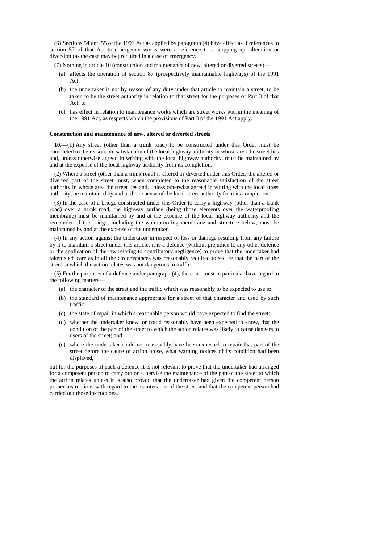(6) Sections 54 and 55 of the 1991 Act as applied by paragraph (4) have effect as if references in section 57 of that Act to emergency works were a reference to a stopping up, alteration or diversion (as the case may be) required in a case of emergency.

(7) Nothing in article 10 (construction and maintenance of new, altered or diverted streets)—

- (a) affects the operation of section 87 (prospectively maintainable highways) of the 1991 Act;
- (b) the undertaker is not by reason of any duty under that article to maintain a street, to be taken to be the street authority in relation to that street for the purposes of Part 3 of that Act; or
- (c) has effect in relation to maintenance works which are street works within the meaning of the 1991 Act, as respects which the provisions of Part 3 of the 1991 Act apply.

### **Construction and maintenance of new, altered or diverted streets**

**10.**—(1) Any street (other than a trunk road) to be constructed under this Order must be completed to the reasonable satisfaction of the local highway authority in whose area the street lies and, unless otherwise agreed in writing with the local highway authority, must be maintained by and at the expense of the local highway authority from its completion.

(2) Where a street (other than a trunk road) is altered or diverted under this Order, the altered or diverted part of the street must, when completed to the reasonable satisfaction of the street authority in whose area the street lies and, unless otherwise agreed in writing with the local street authority, be maintained by and at the expense of the local street authority from its completion.

(3) In the case of a bridge constructed under this Order to carry a highway (other than a trunk road) over a trunk road, the highway surface (being those elements over the waterproofing membrane) must be maintained by and at the expense of the local highway authority and the remainder of the bridge, including the waterproofing membrane and structure below, must be maintained by and at the expense of the undertaker.

(4) In any action against the undertaker in respect of loss or damage resulting from any failure by it to maintain a street under this article, it is a defence (without prejudice to any other defence or the application of the law relating to contributory negligence) to prove that the undertaker had taken such care as in all the circumstances was reasonably required to secure that the part of the street to which the action relates was not dangerous to traffic.

(5) For the purposes of a defence under paragraph (4), the court must in particular have regard to the following matters—

- (a) the character of the street and the traffic which was reasonably to be expected to use it;
- (b) the standard of maintenance appropriate for a street of that character and used by such traffic;
- (c) the state of repair in which a reasonable person would have expected to find the street;
- (d) whether the undertaker knew, or could reasonably have been expected to know, that the condition of the part of the street to which the action relates was likely to cause dangers to users of the street; and
- (e) where the undertaker could not reasonably have been expected to repair that part of the street before the cause of action arose, what warning notices of its condition had been displayed,

but for the purposes of such a defence it is not relevant to prove that the undertaker had arranged for a competent person to carry out or supervise the maintenance of the part of the street to which the action relates unless it is also proved that the undertaker had given the competent person proper instructions with regard to the maintenance of the street and that the competent person had carried out those instructions.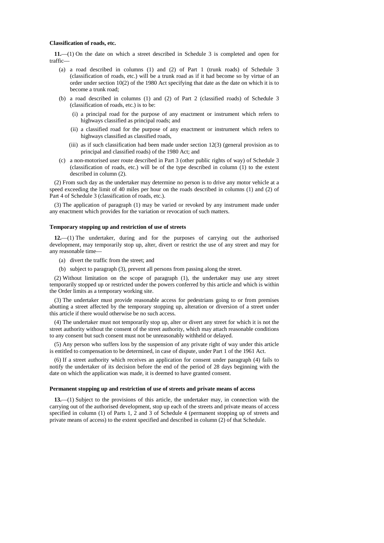### **Classification of roads, etc.**

**11.**—(1) On the date on which a street described in Schedule 3 is completed and open for traffic—

- (a) a road described in columns (1) and (2) of Part 1 (trunk roads) of Schedule 3 (classification of roads, etc.) will be a trunk road as if it had become so by virtue of an order under section 10(2) of the 1980 Act specifying that date as the date on which it is to become a trunk road;
- (b) a road described in columns (1) and (2) of Part 2 (classified roads) of Schedule 3 (classification of roads, etc.) is to be:
	- (i) a principal road for the purpose of any enactment or instrument which refers to highways classified as principal roads; and
	- (ii) a classified road for the purpose of any enactment or instrument which refers to highways classified as classified roads,
	- (iii) as if such classification had been made under section 12(3) (general provision as to principal and classified roads) of the 1980 Act; and
- (c) a non-motorised user route described in Part 3 (other public rights of way) of Schedule 3 (classification of roads, etc.) will be of the type described in column (1) to the extent described in column (2).

(2) From such day as the undertaker may determine no person is to drive any motor vehicle at a speed exceeding the limit of 40 miles per hour on the roads described in columns (1) and (2) of Part 4 of Schedule 3 (classification of roads, etc.).

(3) The application of paragraph (1) may be varied or revoked by any instrument made under any enactment which provides for the variation or revocation of such matters.

#### **Temporary stopping up and restriction of use of streets**

**12.**—(1) The undertaker, during and for the purposes of carrying out the authorised development, may temporarily stop up, alter, divert or restrict the use of any street and may for any reasonable time—

- (a) divert the traffic from the street; and
- (b) subject to paragraph (3), prevent all persons from passing along the street.

(2) Without limitation on the scope of paragraph (1), the undertaker may use any street temporarily stopped up or restricted under the powers conferred by this article and which is within the Order limits as a temporary working site.

(3) The undertaker must provide reasonable access for pedestrians going to or from premises abutting a street affected by the temporary stopping up, alteration or diversion of a street under this article if there would otherwise be no such access.

(4) The undertaker must not temporarily stop up, alter or divert any street for which it is not the street authority without the consent of the street authority, which may attach reasonable conditions to any consent but such consent must not be unreasonably withheld or delayed.

(5) Any person who suffers loss by the suspension of any private right of way under this article is entitled to compensation to be determined, in case of dispute, under Part 1 of the 1961 Act.

(6) If a street authority which receives an application for consent under paragraph (4) fails to notify the undertaker of its decision before the end of the period of 28 days beginning with the date on which the application was made, it is deemed to have granted consent.

### **Permanent stopping up and restriction of use of streets and private means of access**

**13.**—(1) Subject to the provisions of this article, the undertaker may, in connection with the carrying out of the authorised development, stop up each of the streets and private means of access specified in column (1) of Parts 1, 2 and 3 of Schedule 4 (permanent stopping up of streets and private means of access) to the extent specified and described in column (2) of that Schedule.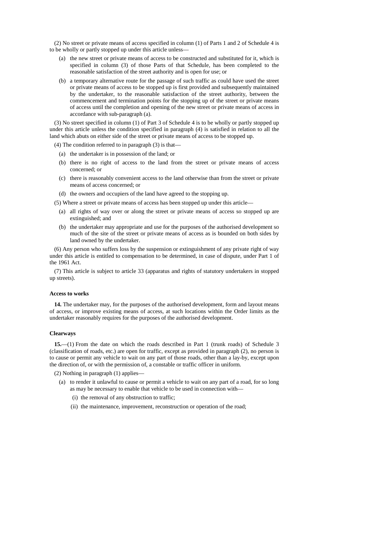(2) No street or private means of access specified in column (1) of Parts 1 and 2 of Schedule 4 is to be wholly or partly stopped up under this article unless—

- (a) the new street or private means of access to be constructed and substituted for it, which is specified in column (3) of those Parts of that Schedule, has been completed to the reasonable satisfaction of the street authority and is open for use; or
- (b) a temporary alternative route for the passage of such traffic as could have used the street or private means of access to be stopped up is first provided and subsequently maintained by the undertaker, to the reasonable satisfaction of the street authority, between the commencement and termination points for the stopping up of the street or private means of access until the completion and opening of the new street or private means of access in accordance with sub-paragraph (a).

(3) No street specified in column (1) of Part 3 of Schedule 4 is to be wholly or partly stopped up under this article unless the condition specified in paragraph (4) is satisfied in relation to all the land which abuts on either side of the street or private means of access to be stopped up.

(4) The condition referred to in paragraph (3) is that—

- (a) the undertaker is in possession of the land; or
- (b) there is no right of access to the land from the street or private means of access concerned; or
- (c) there is reasonably convenient access to the land otherwise than from the street or private means of access concerned; or
- (d) the owners and occupiers of the land have agreed to the stopping up.
- (5) Where a street or private means of access has been stopped up under this article—
	- (a) all rights of way over or along the street or private means of access so stopped up are extinguished; and
	- (b) the undertaker may appropriate and use for the purposes of the authorised development so much of the site of the street or private means of access as is bounded on both sides by land owned by the undertaker.

(6) Any person who suffers loss by the suspension or extinguishment of any private right of way under this article is entitled to compensation to be determined, in case of dispute, under Part 1 of the 1961 Act.

(7) This article is subject to article 33 (apparatus and rights of statutory undertakers in stopped up streets).

### **Access to works**

**14.** The undertaker may, for the purposes of the authorised development, form and layout means of access, or improve existing means of access, at such locations within the Order limits as the undertaker reasonably requires for the purposes of the authorised development.

### **Clearways**

**15.**—(1) From the date on which the roads described in Part 1 (trunk roads) of Schedule 3 (classification of roads, etc.) are open for traffic, except as provided in paragraph (2), no person is to cause or permit any vehicle to wait on any part of those roads, other than a lay-by, except upon the direction of, or with the permission of, a constable or traffic officer in uniform.

(2) Nothing in paragraph (1) applies—

- (a) to render it unlawful to cause or permit a vehicle to wait on any part of a road, for so long as may be necessary to enable that vehicle to be used in connection with—
	- (i) the removal of any obstruction to traffic;
	- (ii) the maintenance, improvement, reconstruction or operation of the road;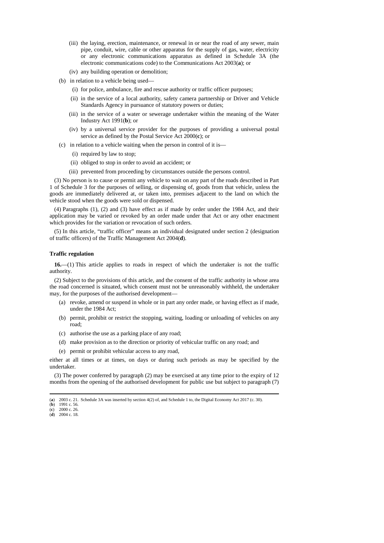- (iii) the laying, erection, maintenance, or renewal in or near the road of any sewer, main pipe, conduit, wire, cable or other apparatus for the supply of gas, water, electricity or any electronic communications apparatus as defined in Schedule 3A (the electronic communications code) to the Communications Act 2003(**a**); or
- (iv) any building operation or demolition;
- (b) in relation to a vehicle being used—
	- (i) for police, ambulance, fire and rescue authority or traffic officer purposes;
	- (ii) in the service of a local authority, safety camera partnership or Driver and Vehicle Standards Agency in pursuance of statutory powers or duties;
	- (iii) in the service of a water or sewerage undertaker within the meaning of the Water Industry Act 1991(**b**); or
	- (iv) by a universal service provider for the purposes of providing a universal postal service as defined by the Postal Service Act 2000(**c**); or
- (c) in relation to a vehicle waiting when the person in control of it is—
	- (i) required by law to stop;
	- (ii) obliged to stop in order to avoid an accident; or
	- (iii) prevented from proceeding by circumstances outside the persons control.

(3) No person is to cause or permit any vehicle to wait on any part of the roads described in Part 1 of Schedule 3 for the purposes of selling, or dispensing of, goods from that vehicle, unless the goods are immediately delivered at, or taken into, premises adjacent to the land on which the vehicle stood when the goods were sold or dispensed.

(4) Paragraphs (1), (2) and (3) have effect as if made by order under the 1984 Act, and their application may be varied or revoked by an order made under that Act or any other enactment which provides for the variation or revocation of such orders.

(5) In this article, "traffic officer" means an individual designated under section 2 (designation of traffic officers) of the Traffic Management Act 2004(**d**).

### **Traffic regulation**

**16.**—(1) This article applies to roads in respect of which the undertaker is not the traffic authority.

(2) Subject to the provisions of this article, and the consent of the traffic authority in whose area the road concerned is situated, which consent must not be unreasonably withheld, the undertaker may, for the purposes of the authorised development—

- (a) revoke, amend or suspend in whole or in part any order made, or having effect as if made, under the 1984 Act;
- (b) permit, prohibit or restrict the stopping, waiting, loading or unloading of vehicles on any road;
- (c) authorise the use as a parking place of any road;
- (d) make provision as to the direction or priority of vehicular traffic on any road; and
- (e) permit or prohibit vehicular access to any road,

either at all times or at times, on days or during such periods as may be specified by the undertaker.

(3) The power conferred by paragraph (2) may be exercised at any time prior to the expiry of 12 months from the opening of the authorised development for public use but subject to paragraph (7)

-

<sup>(</sup>**a**) 2003 c. 21. Schedule 3A was inserted by section 4(2) of, and Schedule 1 to, the Digital Economy Act 2017 (c. 30).

<sup>(</sup>**b**) 1991 c. 56. (**c**) 2000 c. 26.

<sup>(</sup>**d**) 2004 c. 18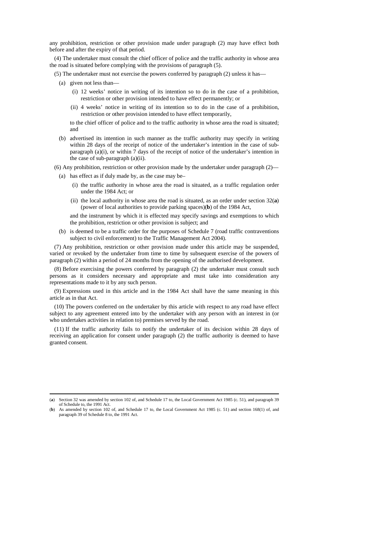any prohibition, restriction or other provision made under paragraph (2) may have effect both before and after the expiry of that period.

(4) The undertaker must consult the chief officer of police and the traffic authority in whose area the road is situated before complying with the provisions of paragraph (5).

(5) The undertaker must not exercise the powers conferred by paragraph (2) unless it has—

(a) given not less than—

-

- (i) 12 weeks' notice in writing of its intention so to do in the case of a prohibition, restriction or other provision intended to have effect permanently; or
- (ii) 4 weeks' notice in writing of its intention so to do in the case of a prohibition, restriction or other provision intended to have effect temporarily,

to the chief officer of police and to the traffic authority in whose area the road is situated; and

- (b) advertised its intention in such manner as the traffic authority may specify in writing within 28 days of the receipt of notice of the undertaker's intention in the case of subparagraph (a)(i), or within  $\overline{7}$  days of the receipt of notice of the undertaker's intention in the case of sub-paragraph (a)(ii).
- (6) Any prohibition, restriction or other provision made by the undertaker under paragraph (2)—
- (a) has effect as if duly made by, as the case may be–
	- (i) the traffic authority in whose area the road is situated, as a traffic regulation order under the 1984 Act; or
	- (ii) the local authority in whose area the road is situated, as an order under section 32(**a**) (power of local authorities to provide parking spaces)(**b**) of the 1984 Act,

and the instrument by which it is effected may specify savings and exemptions to which the prohibition, restriction or other provision is subject; and

(b) is deemed to be a traffic order for the purposes of Schedule 7 (road traffic contraventions subject to civil enforcement) to the Traffic Management Act 2004).

(7) Any prohibition, restriction or other provision made under this article may be suspended, varied or revoked by the undertaker from time to time by subsequent exercise of the powers of paragraph (2) within a period of 24 months from the opening of the authorised development.

(8) Before exercising the powers conferred by paragraph (2) the undertaker must consult such persons as it considers necessary and appropriate and must take into consideration any representations made to it by any such person.

(9) Expressions used in this article and in the 1984 Act shall have the same meaning in this article as in that Act.

(10) The powers conferred on the undertaker by this article with respect to any road have effect subject to any agreement entered into by the undertaker with any person with an interest in (or who undertakes activities in relation to) premises served by the road.

(11) If the traffic authority fails to notify the undertaker of its decision within 28 days of receiving an application for consent under paragraph (2) the traffic authority is deemed to have granted consent.

<sup>(</sup>**a**) Section 32 was amended by section 102 of, and Schedule 17 to, the Local Government Act 1985 (c. 51), and paragraph 39 of Schedule to, the 1991 Act. (**b**) As amended by section 102 of, and Schedule 17 to, the Local Government Act 1985 (c. 51) and section 168(1) of, and

paragraph 39 of Schedule 8 to, the 1991 Act.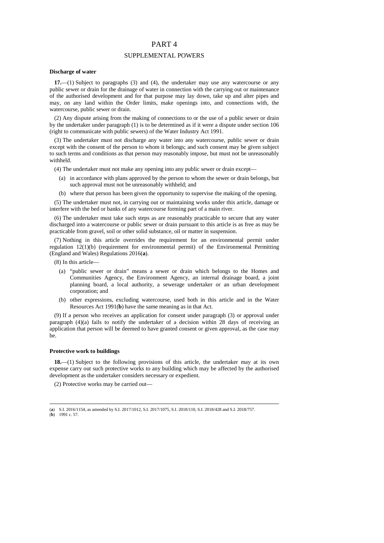## PART 4

## SUPPLEMENTAL POWERS

### **Discharge of water**

**17.**—(1) Subject to paragraphs (3) and (4), the undertaker may use any watercourse or any public sewer or drain for the drainage of water in connection with the carrying out or maintenance of the authorised development and for that purpose may lay down, take up and alter pipes and may, on any land within the Order limits, make openings into, and connections with, the watercourse, public sewer or drain.

(2) Any dispute arising from the making of connections to or the use of a public sewer or drain by the undertaker under paragraph (1) is to be determined as if it were a dispute under section 106 (right to communicate with public sewers) of the Water Industry Act 1991.

(3) The undertaker must not discharge any water into any watercourse, public sewer or drain except with the consent of the person to whom it belongs; and such consent may be given subject to such terms and conditions as that person may reasonably impose, but must not be unreasonably withheld.

(4) The undertaker must not make any opening into any public sewer or drain except—

- (a) in accordance with plans approved by the person to whom the sewer or drain belongs, but such approval must not be unreasonably withheld; and
- (b) where that person has been given the opportunity to supervise the making of the opening.

(5) The undertaker must not, in carrying out or maintaining works under this article, damage or interfere with the bed or banks of any watercourse forming part of a main river.

(6) The undertaker must take such steps as are reasonably practicable to secure that any water discharged into a watercourse or public sewer or drain pursuant to this article is as free as may be practicable from gravel, soil or other solid substance, oil or matter in suspension.

(7) Nothing in this article overrides the requirement for an environmental permit under regulation 12(1)(b) (requirement for environmental permit) of the Environmental Permitting (England and Wales) Regulations 2016(**a**).

- (8) In this article—
	- (a) "public sewer or drain" means a sewer or drain which belongs to the Homes and Communities Agency, the Environment Agency, an internal drainage board, a joint planning board, a local authority, a sewerage undertaker or an urban development corporation; and
	- (b) other expressions, excluding watercourse, used both in this article and in the Water Resources Act 1991(**b**) have the same meaning as in that Act.

(9) If a person who receives an application for consent under paragraph (3) or approval under paragraph (4)(a) fails to notify the undertaker of a decision within 28 days of receiving an application that person will be deemed to have granted consent or given approval, as the case may be.

### **Protective work to buildings**

-

**18.**—(1) Subject to the following provisions of this article, the undertaker may at its own expense carry out such protective works to any building which may be affected by the authorised development as the undertaker considers necessary or expedient.

(2) Protective works may be carried out—

<sup>(</sup>**a**) S.I. 2016/1154, as amended by S.I. 2017/1012, S.I. 2017/1075, S.I. 2018/110, S.I. 2018/428 and S.I. 2018/757. (**b**) 1991 c. 57.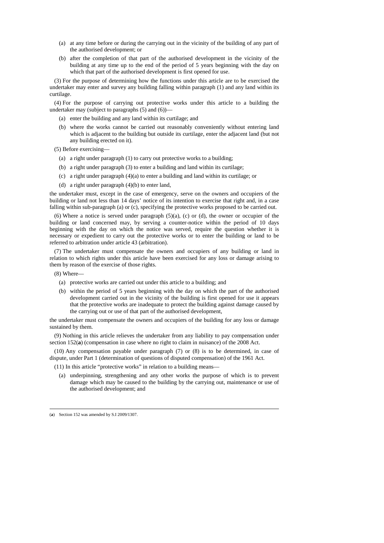- (a) at any time before or during the carrying out in the vicinity of the building of any part of the authorised development; or
- (b) after the completion of that part of the authorised development in the vicinity of the building at any time up to the end of the period of 5 years beginning with the day on which that part of the authorised development is first opened for use.

(3) For the purpose of determining how the functions under this article are to be exercised the undertaker may enter and survey any building falling within paragraph (1) and any land within its curtilage.

(4) For the purpose of carrying out protective works under this article to a building the undertaker may (subject to paragraphs (5) and (6))—

- (a) enter the building and any land within its curtilage; and
- (b) where the works cannot be carried out reasonably conveniently without entering land which is adjacent to the building but outside its curtilage, enter the adjacent land (but not any building erected on it).

(5) Before exercising—

- (a) a right under paragraph (1) to carry out protective works to a building;
- (b) a right under paragraph (3) to enter a building and land within its curtilage;
- (c) a right under paragraph (4)(a) to enter a building and land within its curtilage; or
- (d) a right under paragraph (4)(b) to enter land,

the undertaker must, except in the case of emergency, serve on the owners and occupiers of the building or land not less than 14 days' notice of its intention to exercise that right and, in a case falling within sub-paragraph (a) or (c), specifying the protective works proposed to be carried out.

(6) Where a notice is served under paragraph (5)(a), (c) or (d), the owner or occupier of the building or land concerned may, by serving a counter-notice within the period of 10 days beginning with the day on which the notice was served, require the question whether it is necessary or expedient to carry out the protective works or to enter the building or land to be referred to arbitration under article 43 (arbitration).

(7) The undertaker must compensate the owners and occupiers of any building or land in relation to which rights under this article have been exercised for any loss or damage arising to them by reason of the exercise of those rights.

(8) Where—

- (a) protective works are carried out under this article to a building; and
- (b) within the period of 5 years beginning with the day on which the part of the authorised development carried out in the vicinity of the building is first opened for use it appears that the protective works are inadequate to protect the building against damage caused by the carrying out or use of that part of the authorised development,

the undertaker must compensate the owners and occupiers of the building for any loss or damage sustained by them.

(9) Nothing in this article relieves the undertaker from any liability to pay compensation under section 152(**a**) (compensation in case where no right to claim in nuisance) of the 2008 Act.

(10) Any compensation payable under paragraph (7) or (8) is to be determined, in case of dispute, under Part 1 (determination of questions of disputed compensation) of the 1961 Act.

(11) In this article "protective works" in relation to a building means—

(a) underpinning, strengthening and any other works the purpose of which is to prevent damage which may be caused to the building by the carrying out, maintenance or use of the authorised development; and

 $\overline{a}$ (**a**) Section 152 was amended by S.I 2009/1307.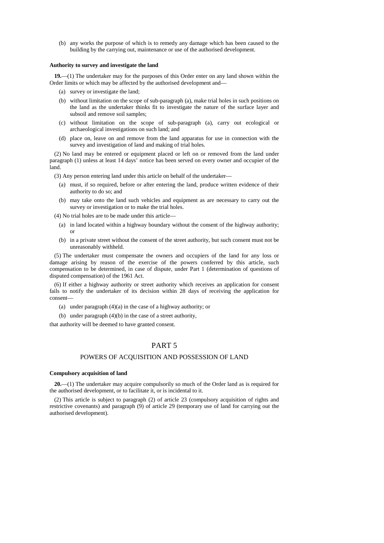(b) any works the purpose of which is to remedy any damage which has been caused to the building by the carrying out, maintenance or use of the authorised development.

### **Authority to survey and investigate the land**

**19.**—(1) The undertaker may for the purposes of this Order enter on any land shown within the Order limits or which may be affected by the authorised development and—

- (a) survey or investigate the land;
- (b) without limitation on the scope of sub-paragraph (a), make trial holes in such positions on the land as the undertaker thinks fit to investigate the nature of the surface layer and subsoil and remove soil samples;
- (c) without limitation on the scope of sub-paragraph (a), carry out ecological or archaeological investigations on such land; and
- (d) place on, leave on and remove from the land apparatus for use in connection with the survey and investigation of land and making of trial holes.

(2) No land may be entered or equipment placed or left on or removed from the land under paragraph (1) unless at least 14 days' notice has been served on every owner and occupier of the land.

(3) Any person entering land under this article on behalf of the undertaker—

- (a) must, if so required, before or after entering the land, produce written evidence of their authority to do so; and
- (b) may take onto the land such vehicles and equipment as are necessary to carry out the survey or investigation or to make the trial holes.

(4) No trial holes are to be made under this article—

- (a) in land located within a highway boundary without the consent of the highway authority; or
- (b) in a private street without the consent of the street authority, but such consent must not be unreasonably withheld.

(5) The undertaker must compensate the owners and occupiers of the land for any loss or damage arising by reason of the exercise of the powers conferred by this article, such compensation to be determined, in case of dispute, under Part 1 (determination of questions of disputed compensation) of the 1961 Act.

(6) If either a highway authority or street authority which receives an application for consent fails to notify the undertaker of its decision within 28 days of receiving the application for consent—

- (a) under paragraph (4)(a) in the case of a highway authority; or
- (b) under paragraph (4)(b) in the case of a street authority,

that authority will be deemed to have granted consent.

## PART 5

### POWERS OF ACQUISITION AND POSSESSION OF LAND

### **Compulsory acquisition of land**

**20.**—(1) The undertaker may acquire compulsorily so much of the Order land as is required for the authorised development, or to facilitate it, or is incidental to it.

(2) This article is subject to paragraph (2) of article 23 (compulsory acquisition of rights and restrictive covenants) and paragraph (9) of article 29 (temporary use of land for carrying out the authorised development).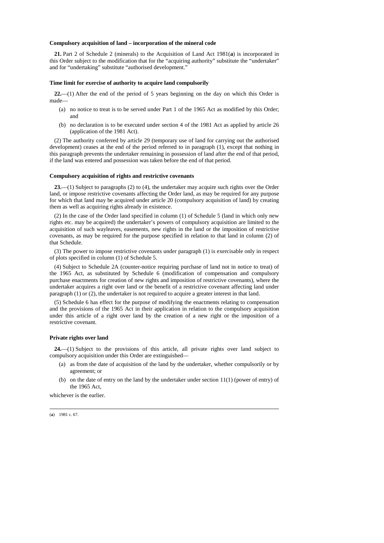### **Compulsory acquisition of land – incorporation of the mineral code**

**21.** Part 2 of Schedule 2 (minerals) to the Acquisition of Land Act 1981(**a**) is incorporated in this Order subject to the modification that for the "acquiring authority" substitute the "undertaker" and for "undertaking" substitute "authorised development."

### **Time limit for exercise of authority to acquire land compulsorily**

**22.**—(1) After the end of the period of 5 years beginning on the day on which this Order is made—

- (a) no notice to treat is to be served under Part 1 of the 1965 Act as modified by this Order; and
- (b) no declaration is to be executed under section 4 of the 1981 Act as applied by article 26 (application of the 1981 Act).

(2) The authority conferred by article 29 (temporary use of land for carrying out the authorised development) ceases at the end of the period referred to in paragraph (1), except that nothing in this paragraph prevents the undertaker remaining in possession of land after the end of that period, if the land was entered and possession was taken before the end of that period.

### **Compulsory acquisition of rights and restrictive covenants**

**23.**—(1) Subject to paragraphs (2) to (4), the undertaker may acquire such rights over the Order land, or impose restrictive covenants affecting the Order land, as may be required for any purpose for which that land may be acquired under article 20 (compulsory acquisition of land) by creating them as well as acquiring rights already in existence.

(2) In the case of the Order land specified in column (1) of Schedule 5 (land in which only new rights etc. may be acquired) the undertaker's powers of compulsory acquisition are limited to the acquisition of such wayleaves, easements, new rights in the land or the imposition of restrictive covenants, as may be required for the purpose specified in relation to that land in column (2) of that Schedule.

(3) The power to impose restrictive covenants under paragraph (1) is exercisable only in respect of plots specified in column (1) of Schedule 5.

(4) Subject to Schedule 2A (counter-notice requiring purchase of land not in notice to treat) of the 1965 Act, as substituted by Schedule 6 (modification of compensation and compulsory purchase enactments for creation of new rights and imposition of restrictive covenants), where the undertaker acquires a right over land or the benefit of a restrictive covenant affecting land under paragraph (1) or (2), the undertaker is not required to acquire a greater interest in that land.

(5) Schedule 6 has effect for the purpose of modifying the enactments relating to compensation and the provisions of the 1965 Act in their application in relation to the compulsory acquisition under this article of a right over land by the creation of a new right or the imposition of a restrictive covenant.

### **Private rights over land**

**24.**—(1) Subject to the provisions of this article, all private rights over land subject to compulsory acquisition under this Order are extinguished—

- (a) as from the date of acquisition of the land by the undertaker, whether compulsorily or by agreement; or
- (b) on the date of entry on the land by the undertaker under section  $11(1)$  (power of entry) of the 1965 Act,

whichever is the earlier.

 $\overline{a}$ (**a**) 1981 c. 67.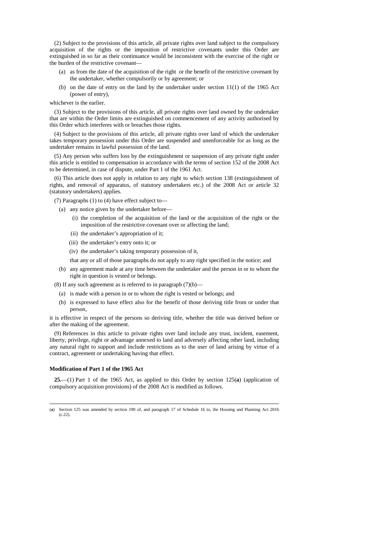(2) Subject to the provisions of this article, all private rights over land subject to the compulsory acquisition of the rights or the imposition of restrictive covenants under this Order are extinguished in so far as their continuance would be inconsistent with the exercise of the right or the burden of the restrictive covenant—

- (a) as from the date of the acquisition of the right or the benefit of the restrictive covenant by the undertaker, whether compulsorily or by agreement; or
- (b) on the date of entry on the land by the undertaker under section 11(1) of the 1965 Act (power of entry),

whichever is the earlier.

(3) Subject to the provisions of this article, all private rights over land owned by the undertaker that are within the Order limits are extinguished on commencement of any activity authorised by this Order which interferes with or breaches those rights.

(4) Subject to the provisions of this article, all private rights over land of which the undertaker takes temporary possession under this Order are suspended and unenforceable for as long as the undertaker remains in lawful possession of the land.

(5) Any person who suffers loss by the extinguishment or suspension of any private right under this article is entitled to compensation in accordance with the terms of section 152 of the 2008 Act to be determined, in case of dispute, under Part 1 of the 1961 Act.

(6) This article does not apply in relation to any right to which section 138 (extinguishment of rights, and removal of apparatus, of statutory undertakers etc.) of the 2008 Act or article 32 (statutory undertakers) applies.

(7) Paragraphs (1) to (4) have effect subject to—

- (a) any notice given by the undertaker before—
	- (i) the completion of the acquisition of the land or the acquisition of the right or the imposition of the restrictive covenant over or affecting the land;
	- (ii) the undertaker's appropriation of it;
	- (iii) the undertaker's entry onto it; or
	- (iv) the undertaker's taking temporary possession of it,
	- that any or all of those paragraphs do not apply to any right specified in the notice; and
- (b) any agreement made at any time between the undertaker and the person in or to whom the right in question is vested or belongs.

(8) If any such agreement as is referred to in paragraph (7)(b)—

- (a) is made with a person in or to whom the right is vested or belongs; and
- (b) is expressed to have effect also for the benefit of those deriving title from or under that person,

it is effective in respect of the persons so deriving title, whether the title was derived before or after the making of the agreement.

(9) References in this article to private rights over land include any trust, incident, easement, liberty, privilege, right or advantage annexed to land and adversely affecting other land, including any natural right to support and include restrictions as to the user of land arising by virtue of a contract, agreement or undertaking having that effect.

### **Modification of Part 1 of the 1965 Act**

-

**25.**—(1) Part 1 of the 1965 Act, as applied to this Order by section 125(**a**) (application of compulsory acquisition provisions) of the 2008 Act is modified as follows.

<sup>(</sup>**a**) Section 125 was amended by section 190 of, and paragraph 17 of Schedule 16 to, the Housing and Planning Act 2016 (c.22).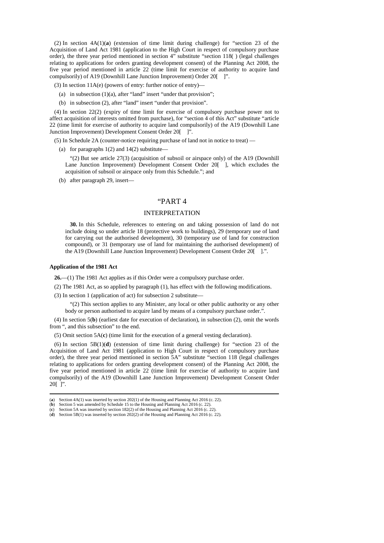(2) In section 4A(1)(**a**) (extension of time limit during challenge) for "section 23 of the Acquisition of Land Act 1981 (application to the High Court in respect of compulsory purchase order), the three year period mentioned in section 4" substitute "section 118( ) (legal challenges relating to applications for orders granting development consent) of the Planning Act 2008, the five year period mentioned in article 22 (time limit for exercise of authority to acquire land compulsorily) of A19 (Downhill Lane Junction Improvement) Order 20[ ]".

(3) In section 11A(e) (powers of entry: further notice of entry)—

- (a) in subsection  $(1)(a)$ , after "land" insert "under that provision";
- (b) in subsection (2), after "land" insert "under that provision".

(4) In section 22(2) (expiry of time limit for exercise of compulsory purchase power not to affect acquisition of interests omitted from purchase), for "section 4 of this Act" substitute "article 22 (time limit for exercise of authority to acquire land compulsorily) of the A19 (Downhill Lane Junction Improvement) Development Consent Order 20[ ]".

(5) In Schedule 2A (counter-notice requiring purchase of land not in notice to treat) —

(a) for paragraphs  $1(2)$  and  $14(2)$  substitute—

"(2) But see article 27(3) (acquisition of subsoil or airspace only) of the A19 (Downhill Lane Junction Improvement) Development Consent Order 20<sup>[1]</sup>, which excludes the acquisition of subsoil or airspace only from this Schedule."; and

(b) after paragraph 29, insert—

### "PART 4

### INTERPRETATION

**30.** In this Schedule, references to entering on and taking possession of land do not include doing so under article 18 (protective work to buildings), 29 (temporary use of land for carrying out the authorised development), 30 (temporary use of land for construction compound), or 31 (temporary use of land for maintaining the authorised development) of the A19 (Downhill Lane Junction Improvement) Development Consent Order 20[ ].".

### **Application of the 1981 Act**

-

**26.**—(1) The 1981 Act applies as if this Order were a compulsory purchase order.

(2) The 1981 Act, as so applied by paragraph (1), has effect with the following modifications.

 $(3)$  In section 1 (application of act) for subsection 2 substitute—

"(2) This section applies to any Minister, any local or other public authority or any other body or person authorised to acquire land by means of a compulsory purchase order.".

(4) In section 5(**b**) (earliest date for execution of declaration), in subsection (2), omit the words from ", and this subsection" to the end.

(5) Omit section 5A(**c**) (time limit for the execution of a general vesting declaration).

(6) In section 5B(1)(**d**) (extension of time limit during challenge) for "section 23 of the Acquisition of Land Act 1981 (application to High Court in respect of compulsory purchase order), the three year period mentioned in section 5A" substitute "section 118 (legal challenges relating to applications for orders granting development consent) of the Planning Act 2008, the five year period mentioned in article 22 (time limit for exercise of authority to acquire land compulsorily) of the A19 (Downhill Lane Junction Improvement) Development Consent Order 20[ ]".

<sup>(</sup>**a**) Section 4A(1) was inserted by section 202(1) of the Housing and Planning Act 2016 (c. 22).

<sup>(</sup>**b**) Section 5 was amended by Schedule 15 to the Housing and Planning Act 2016 (c. 22). (**c**) Section 5A was inserted by section 182(2) of the Housing and Planning Act 2016 (c. 22).

<sup>(</sup>**d**) Section 5B(1) was inserted by section 202(2) of the Housing and Planning Act 2016 (c. 22).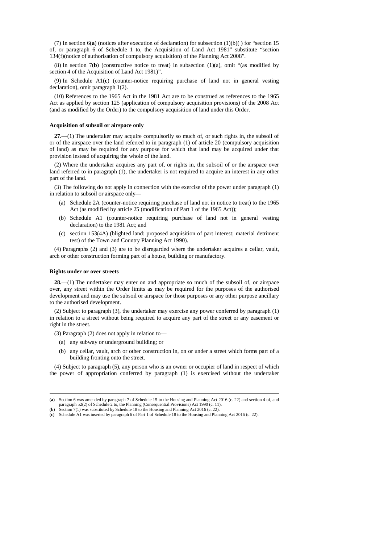(7) In section 6(**a**) (notices after execution of declaration) for subsection (1)(b)( ) for "section 15 of, or paragraph 6 of Schedule 1 to, the Acquisition of Land Act 1981" substitute "section 134(f)(notice of authorisation of compulsory acquisition) of the Planning Act 2008".

(8) In section 7(**b**) (constructive notice to treat) in subsection (1)(a), omit "(as modified by section 4 of the Acquisition of Land Act 1981)".

(9) In Schedule A1(**c**) (counter-notice requiring purchase of land not in general vesting declaration), omit paragraph 1(2).

(10) References to the 1965 Act in the 1981 Act are to be construed as references to the 1965 Act as applied by section 125 (application of compulsory acquisition provisions) of the 2008 Act (and as modified by the Order) to the compulsory acquisition of land under this Order.

### **Acquisition of subsoil or airspace only**

**27.**—(1) The undertaker may acquire compulsorily so much of, or such rights in, the subsoil of or of the airspace over the land referred to in paragraph (1) of article 20 (compulsory acquisition of land) as may be required for any purpose for which that land may be acquired under that provision instead of acquiring the whole of the land.

(2) Where the undertaker acquires any part of, or rights in, the subsoil of or the airspace over land referred to in paragraph (1), the undertaker is not required to acquire an interest in any other part of the land.

(3) The following do not apply in connection with the exercise of the power under paragraph (1) in relation to subsoil or airspace only—

- (a) Schedule 2A (counter-notice requiring purchase of land not in notice to treat) to the 1965 Act (as modified by article 25 (modification of Part 1 of the 1965 Act));
- (b) Schedule A1 (counter-notice requiring purchase of land not in general vesting declaration) to the 1981 Act; and
- (c) section 153(4A) (blighted land: proposed acquisition of part interest; material detriment test) of the Town and Country Planning Act 1990).

(4) Paragraphs (2) and (3) are to be disregarded where the undertaker acquires a cellar, vault, arch or other construction forming part of a house, building or manufactory.

### **Rights under or over streets**

-

**28.**—(1) The undertaker may enter on and appropriate so much of the subsoil of, or airspace over, any street within the Order limits as may be required for the purposes of the authorised development and may use the subsoil or airspace for those purposes or any other purpose ancillary to the authorised development.

(2) Subject to paragraph (3), the undertaker may exercise any power conferred by paragraph (1) in relation to a street without being required to acquire any part of the street or any easement or right in the street.

(3) Paragraph (2) does not apply in relation to—

- (a) any subway or underground building; or
- (b) any cellar, vault, arch or other construction in, on or under a street which forms part of a building fronting onto the street.

(4) Subject to paragraph (5), any person who is an owner or occupier of land in respect of which the power of appropriation conferred by paragraph (1) is exercised without the undertaker

(**c**) Schedule A1 was inserted by paragraph 6 of Part 1 of Schedule 18 to the Housing and Planning Act 2016 (c. 22).

<sup>(</sup>**a**) Section 6 was amended by paragraph 7 of Schedule 15 to the Housing and Planning Act 2016 (c. 22) and section 4 of, and

paragraph 52(2) of Schedule 2 to, the Planning (Consequential Provisions) Act 1990 (c. 11).<br> **(b)** Section 7(1) was substituted by Schedule 18 to the Housing and Planning Act 2016 (c. 22).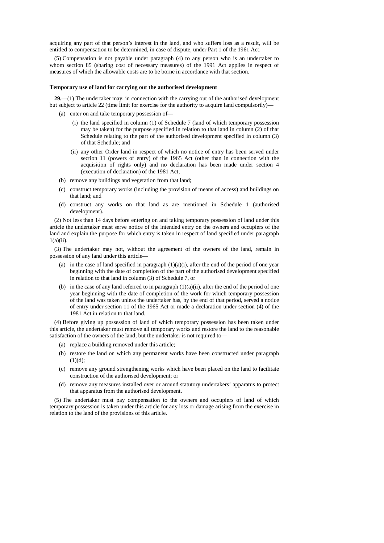acquiring any part of that person's interest in the land, and who suffers loss as a result, will be entitled to compensation to be determined, in case of dispute, under Part 1 of the 1961 Act.

(5) Compensation is not payable under paragraph (4) to any person who is an undertaker to whom section 85 (sharing cost of necessary measures) of the 1991 Act applies in respect of measures of which the allowable costs are to be borne in accordance with that section.

### **Temporary use of land for carrying out the authorised development**

**29.**—(1) The undertaker may, in connection with the carrying out of the authorised development but subject to article 22 (time limit for exercise for the authority to acquire land compulsorily)—

- (a) enter on and take temporary possession of—
	- (i) the land specified in column (1) of Schedule 7 (land of which temporary possession may be taken) for the purpose specified in relation to that land in column (2) of that Schedule relating to the part of the authorised development specified in column (3) of that Schedule; and
	- (ii) any other Order land in respect of which no notice of entry has been served under section 11 (powers of entry) of the 1965 Act (other than in connection with the acquisition of rights only) and no declaration has been made under section 4 (execution of declaration) of the 1981 Act;
- (b) remove any buildings and vegetation from that land;
- (c) construct temporary works (including the provision of means of access) and buildings on that land; and
- (d) construct any works on that land as are mentioned in Schedule 1 (authorised development).

(2) Not less than 14 days before entering on and taking temporary possession of land under this article the undertaker must serve notice of the intended entry on the owners and occupiers of the land and explain the purpose for which entry is taken in respect of land specified under paragraph 1(a)(ii).

(3) The undertaker may not, without the agreement of the owners of the land, remain in possession of any land under this article—

- (a) in the case of land specified in paragraph  $(1)(a)(i)$ , after the end of the period of one year beginning with the date of completion of the part of the authorised development specified in relation to that land in column (3) of Schedule 7, or
- (b) in the case of any land referred to in paragraph (1)(a)(ii), after the end of the period of one year beginning with the date of completion of the work for which temporary possession of the land was taken unless the undertaker has, by the end of that period, served a notice of entry under section 11 of the 1965 Act or made a declaration under section (4) of the 1981 Act in relation to that land.

(4) Before giving up possession of land of which temporary possession has been taken under this article, the undertaker must remove all temporary works and restore the land to the reasonable satisfaction of the owners of the land; but the undertaker is not required to—

- (a) replace a building removed under this article;
- (b) restore the land on which any permanent works have been constructed under paragraph  $(1)(d)$ :
- (c) remove any ground strengthening works which have been placed on the land to facilitate construction of the authorised development; or
- (d) remove any measures installed over or around statutory undertakers' apparatus to protect that apparatus from the authorised development.

(5) The undertaker must pay compensation to the owners and occupiers of land of which temporary possession is taken under this article for any loss or damage arising from the exercise in relation to the land of the provisions of this article.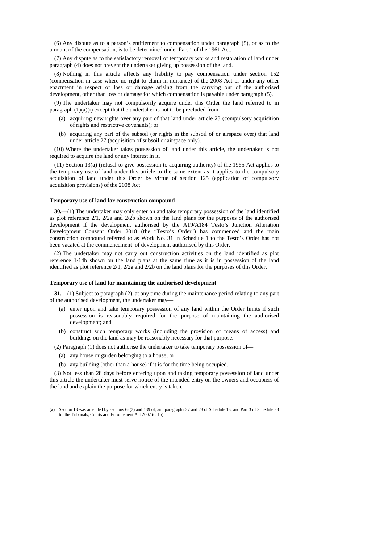(6) Any dispute as to a person's entitlement to compensation under paragraph (5), or as to the amount of the compensation, is to be determined under Part 1 of the 1961 Act.

(7) Any dispute as to the satisfactory removal of temporary works and restoration of land under paragraph (4) does not prevent the undertaker giving up possession of the land.

(8) Nothing in this article affects any liability to pay compensation under section 152 (compensation in case where no right to claim in nuisance) of the 2008 Act or under any other enactment in respect of loss or damage arising from the carrying out of the authorised development, other than loss or damage for which compensation is payable under paragraph (5).

(9) The undertaker may not compulsorily acquire under this Order the land referred to in paragraph  $(1)(a)(i)$  except that the undertaker is not to be precluded from—

- (a) acquiring new rights over any part of that land under article 23 (compulsory acquisition of rights and restrictive covenants); or
- (b) acquiring any part of the subsoil (or rights in the subsoil of or airspace over) that land under article 27 (acquisition of subsoil or airspace only).

(10) Where the undertaker takes possession of land under this article, the undertaker is not required to acquire the land or any interest in it.

(11) Section 13(**a**) (refusal to give possession to acquiring authority) of the 1965 Act applies to the temporary use of land under this article to the same extent as it applies to the compulsory acquisition of land under this Order by virtue of section 125 (application of compulsory acquisition provisions) of the 2008 Act.

### **Temporary use of land for construction compound**

**30.**—(1) The undertaker may only enter on and take temporary possession of the land identified as plot reference 2/1, 2/2a and 2/2b shown on the land plans for the purposes of the authorised development if the development authorised by the A19/A184 Testo's Junction Alteration Development Consent Order 2018 (the "Testo's Order") has commenced and the main construction compound referred to as Work No. 31 in Schedule 1 to the Testo's Order has not been vacated at the commencement of development authorised by this Order.

(2) The undertaker may not carry out construction activities on the land identified as plot reference 1/14b shown on the land plans at the same time as it is in possession of the land identified as plot reference 2/1, 2/2a and 2/2b on the land plans for the purposes of this Order.

### **Temporary use of land for maintaining the authorised development**

**31.**—(1) Subject to paragraph (2), at any time during the maintenance period relating to any part of the authorised development, the undertaker may—

- (a) enter upon and take temporary possession of any land within the Order limits if such possession is reasonably required for the purpose of maintaining the authorised development; and
- (b) construct such temporary works (including the provision of means of access) and buildings on the land as may be reasonably necessary for that purpose.

(2) Paragraph (1) does not authorise the undertaker to take temporary possession of—

(a) any house or garden belonging to a house; or

-

(b) any building (other than a house) if it is for the time being occupied.

(3) Not less than 28 days before entering upon and taking temporary possession of land under this article the undertaker must serve notice of the intended entry on the owners and occupiers of the land and explain the purpose for which entry is taken.

<sup>(</sup>**a**) Section 13 was amended by sections 62(3) and 139 of, and paragraphs 27 and 28 of Schedule 13, and Part 3 of Schedule 23 to, the Tribunals, Courts and Enforcement Act 2007 (c. 15).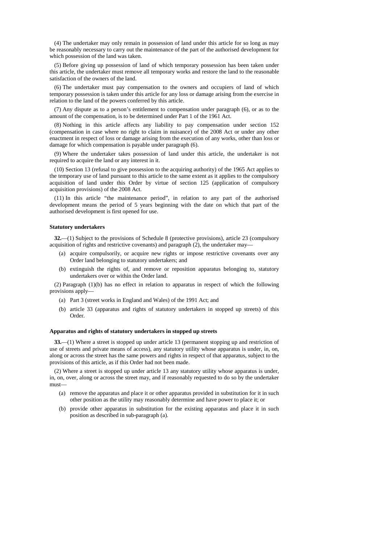(4) The undertaker may only remain in possession of land under this article for so long as may be reasonably necessary to carry out the maintenance of the part of the authorised development for which possession of the land was taken.

(5) Before giving up possession of land of which temporary possession has been taken under this article, the undertaker must remove all temporary works and restore the land to the reasonable satisfaction of the owners of the land.

(6) The undertaker must pay compensation to the owners and occupiers of land of which temporary possession is taken under this article for any loss or damage arising from the exercise in relation to the land of the powers conferred by this article.

(7) Any dispute as to a person's entitlement to compensation under paragraph (6), or as to the amount of the compensation, is to be determined under Part 1 of the 1961 Act.

(8) Nothing in this article affects any liability to pay compensation under section 152 (compensation in case where no right to claim in nuisance) of the 2008 Act or under any other enactment in respect of loss or damage arising from the execution of any works, other than loss or damage for which compensation is payable under paragraph (6).

(9) Where the undertaker takes possession of land under this article, the undertaker is not required to acquire the land or any interest in it.

(10) Section 13 (refusal to give possession to the acquiring authority) of the 1965 Act applies to the temporary use of land pursuant to this article to the same extent as it applies to the compulsory acquisition of land under this Order by virtue of section 125 (application of compulsory acquisition provisions) of the 2008 Act.

(11) In this article "the maintenance period", in relation to any part of the authorised development means the period of 5 years beginning with the date on which that part of the authorised development is first opened for use.

### **Statutory undertakers**

**32.**—(1) Subject to the provisions of Schedule 8 (protective provisions), article 23 (compulsory acquisition of rights and restrictive covenants) and paragraph  $(2)$ , the undertaker may-

- (a) acquire compulsorily, or acquire new rights or impose restrictive covenants over any Order land belonging to statutory undertakers; and
- (b) extinguish the rights of, and remove or reposition apparatus belonging to, statutory undertakers over or within the Order land.

(2) Paragraph (1)(b) has no effect in relation to apparatus in respect of which the following provisions apply—

- (a) Part 3 (street works in England and Wales) of the 1991 Act; and
- (b) article 33 (apparatus and rights of statutory undertakers in stopped up streets) of this Order.

### **Apparatus and rights of statutory undertakers in stopped up streets**

**33.**—(1) Where a street is stopped up under article 13 (permanent stopping up and restriction of use of streets and private means of access), any statutory utility whose apparatus is under, in, on, along or across the street has the same powers and rights in respect of that apparatus, subject to the provisions of this article, as if this Order had not been made.

(2) Where a street is stopped up under article 13 any statutory utility whose apparatus is under, in, on, over, along or across the street may, and if reasonably requested to do so by the undertaker must—

- (a) remove the apparatus and place it or other apparatus provided in substitution for it in such other position as the utility may reasonably determine and have power to place it; or
- (b) provide other apparatus in substitution for the existing apparatus and place it in such position as described in sub-paragraph (a).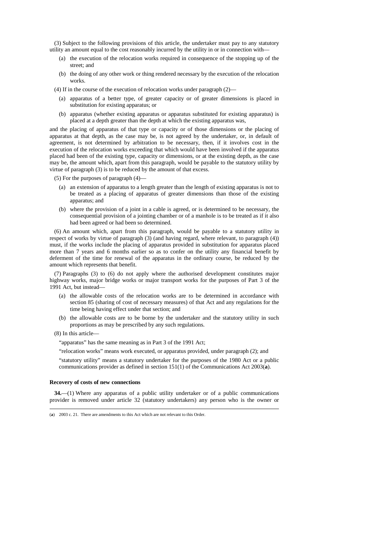(3) Subject to the following provisions of this article, the undertaker must pay to any statutory utility an amount equal to the cost reasonably incurred by the utility in or in connection with—

- (a) the execution of the relocation works required in consequence of the stopping up of the street; and
- (b) the doing of any other work or thing rendered necessary by the execution of the relocation works.
- (4) If in the course of the execution of relocation works under paragraph (2)—
	- (a) apparatus of a better type, of greater capacity or of greater dimensions is placed in substitution for existing apparatus; or
	- (b) apparatus (whether existing apparatus or apparatus substituted for existing apparatus) is placed at a depth greater than the depth at which the existing apparatus was,

and the placing of apparatus of that type or capacity or of those dimensions or the placing of apparatus at that depth, as the case may be, is not agreed by the undertaker, or, in default of agreement, is not determined by arbitration to be necessary, then, if it involves cost in the execution of the relocation works exceeding that which would have been involved if the apparatus placed had been of the existing type, capacity or dimensions, or at the existing depth, as the case may be, the amount which, apart from this paragraph, would be payable to the statutory utility by virtue of paragraph (3) is to be reduced by the amount of that excess.

(5) For the purposes of paragraph (4)—

- (a) an extension of apparatus to a length greater than the length of existing apparatus is not to be treated as a placing of apparatus of greater dimensions than those of the existing apparatus; and
- (b) where the provision of a joint in a cable is agreed, or is determined to be necessary, the consequential provision of a jointing chamber or of a manhole is to be treated as if it also had been agreed or had been so determined.

(6) An amount which, apart from this paragraph, would be payable to a statutory utility in respect of works by virtue of paragraph (3) (and having regard, where relevant, to paragraph (4)) must, if the works include the placing of apparatus provided in substitution for apparatus placed more than 7 years and 6 months earlier so as to confer on the utility any financial benefit by deferment of the time for renewal of the apparatus in the ordinary course, be reduced by the amount which represents that benefit.

(7) Paragraphs (3) to (6) do not apply where the authorised development constitutes major highway works, major bridge works or major transport works for the purposes of Part 3 of the 1991 Act, but instead—

- (a) the allowable costs of the relocation works are to be determined in accordance with section 85 (sharing of cost of necessary measures) of that Act and any regulations for the time being having effect under that section; and
- (b) the allowable costs are to be borne by the undertaker and the statutory utility in such proportions as may be prescribed by any such regulations.

(8) In this article—

 $\overline{a}$ 

"apparatus" has the same meaning as in Part 3 of the 1991 Act;

"relocation works" means work executed, or apparatus provided, under paragraph (2); and

"statutory utility" means a statutory undertaker for the purposes of the 1980 Act or a public communications provider as defined in section 151(1) of the Communications Act 2003(**a**).

### **Recovery of costs of new connections**

**34.**—(1) Where any apparatus of a public utility undertaker or of a public communications provider is removed under article 32 (statutory undertakers) any person who is the owner or

<sup>(</sup>**a**) 2003 c. 21. There are amendments to this Act which are not relevant to this Order.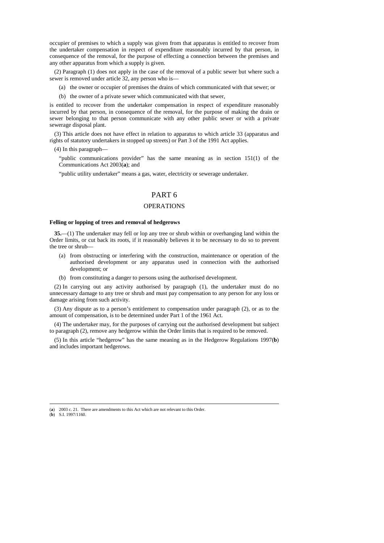occupier of premises to which a supply was given from that apparatus is entitled to recover from the undertaker compensation in respect of expenditure reasonably incurred by that person, in consequence of the removal, for the purpose of effecting a connection between the premises and any other apparatus from which a supply is given.

(2) Paragraph (1) does not apply in the case of the removal of a public sewer but where such a sewer is removed under article 32, any person who is-

- (a) the owner or occupier of premises the drains of which communicated with that sewer; or
	- (b) the owner of a private sewer which communicated with that sewer,

is entitled to recover from the undertaker compensation in respect of expenditure reasonably incurred by that person, in consequence of the removal, for the purpose of making the drain or sewer belonging to that person communicate with any other public sewer or with a private sewerage disposal plant.

(3) This article does not have effect in relation to apparatus to which article 33 (apparatus and rights of statutory undertakers in stopped up streets) or Part 3 of the 1991 Act applies.

(4) In this paragraph—

"public communications provider" has the same meaning as in section 151(1) of the Communications Act 2003(**a**); and

"public utility undertaker" means a gas, water, electricity or sewerage undertaker.

## PART 6

### OPERATIONS

### **Felling or lopping of trees and removal of hedgerows**

**35.**—(1) The undertaker may fell or lop any tree or shrub within or overhanging land within the Order limits, or cut back its roots, if it reasonably believes it to be necessary to do so to prevent the tree or shrub—

- (a) from obstructing or interfering with the construction, maintenance or operation of the authorised development or any apparatus used in connection with the authorised development; or
- (b) from constituting a danger to persons using the authorised development.

(2) In carrying out any activity authorised by paragraph (1), the undertaker must do no unnecessary damage to any tree or shrub and must pay compensation to any person for any loss or damage arising from such activity.

(3) Any dispute as to a person's entitlement to compensation under paragraph (2), or as to the amount of compensation, is to be determined under Part 1 of the 1961 Act.

(4) The undertaker may, for the purposes of carrying out the authorised development but subject to paragraph (2), remove any hedgerow within the Order limits that is required to be removed.

(5) In this article "hedgerow" has the same meaning as in the Hedgerow Regulations 1997(**b**) and includes important hedgerows.

-

<sup>(</sup>**a**) 2003 c. 21. There are amendments to this Act which are not relevant to this Order. (**b**) S.I. 1997/1160.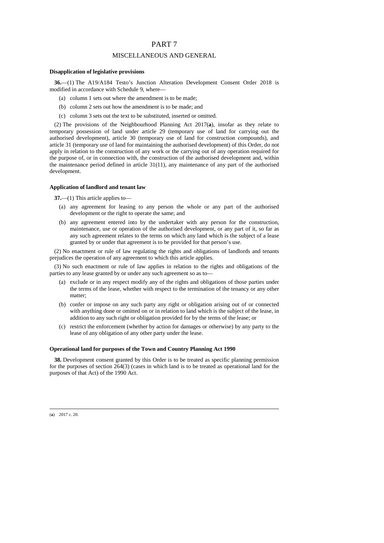## PART 7

### MISCELLANEOUS AND GENERAL

### **Disapplication of legislative provisions**

**36.**—(1) The A19/A184 Testo's Junction Alteration Development Consent Order 2018 is modified in accordance with Schedule 9, where—

- (a) column 1 sets out where the amendment is to be made;
- (b) column 2 sets out how the amendment is to be made; and
- (c) column 3 sets out the text to be substituted, inserted or omitted.

(2) The provisions of the Neighbourhood Planning Act 2017(**a**), insofar as they relate to temporary possession of land under article 29 (temporary use of land for carrying out the authorised development), article 30 (temporary use of land for construction compounds), and article 31 (temporary use of land for maintaining the authorised development) of this Order, do not apply in relation to the construction of any work or the carrying out of any operation required for the purpose of, or in connection with, the construction of the authorised development and, within the maintenance period defined in article 31(11), any maintenance of any part of the authorised development.

### **Application of landlord and tenant law**

**37.**—(1) This article applies to—

- (a) any agreement for leasing to any person the whole or any part of the authorised development or the right to operate the same; and
- (b) any agreement entered into by the undertaker with any person for the construction, maintenance, use or operation of the authorised development, or any part of it, so far as any such agreement relates to the terms on which any land which is the subject of a lease granted by or under that agreement is to be provided for that person's use.

(2) No enactment or rule of law regulating the rights and obligations of landlords and tenants prejudices the operation of any agreement to which this article applies.

(3) No such enactment or rule of law applies in relation to the rights and obligations of the parties to any lease granted by or under any such agreement so as to—

- (a) exclude or in any respect modify any of the rights and obligations of those parties under the terms of the lease, whether with respect to the termination of the tenancy or any other matter;
- (b) confer or impose on any such party any right or obligation arising out of or connected with anything done or omitted on or in relation to land which is the subject of the lease, in addition to any such right or obligation provided for by the terms of the lease; or
- (c) restrict the enforcement (whether by action for damages or otherwise) by any party to the lease of any obligation of any other party under the lease.

### **Operational land for purposes of the Town and Country Planning Act 1990**

**38.** Development consent granted by this Order is to be treated as specific planning permission for the purposes of section 264(3) (cases in which land is to be treated as operational land for the purposes of that Act) of the 1990 Act.

 $\overline{a}$ 

<sup>(</sup>**a**) 2017 c. 20.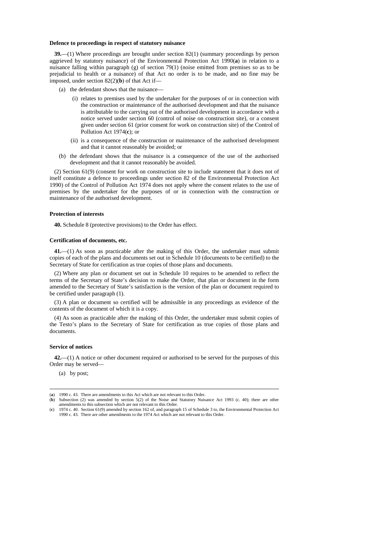### **Defence to proceedings in respect of statutory nuisance**

**39.**—(1) Where proceedings are brought under section 82(1) (summary proceedings by person aggrieved by statutory nuisance) of the Environmental Protection Act 1990(**a**) in relation to a nuisance falling within paragraph (g) of section 79(1) (noise emitted from premises so as to be prejudicial to health or a nuisance) of that Act no order is to be made, and no fine may be imposed, under section 82(2)(**b**) of that Act if—

- (a) the defendant shows that the nuisance—
	- (i) relates to premises used by the undertaker for the purposes of or in connection with the construction or maintenance of the authorised development and that the nuisance is attributable to the carrying out of the authorised development in accordance with a notice served under section 60 (control of noise on construction site), or a consent given under section 61 (prior consent for work on construction site) of the Control of Pollution Act 1974(**c**); or
	- (ii) is a consequence of the construction or maintenance of the authorised development and that it cannot reasonably be avoided; or
- (b) the defendant shows that the nuisance is a consequence of the use of the authorised development and that it cannot reasonably be avoided.

(2) Section 61(9) (consent for work on construction site to include statement that it does not of itself constitute a defence to proceedings under section 82 of the Environmental Protection Act 1990) of the Control of Pollution Act 1974 does not apply where the consent relates to the use of premises by the undertaker for the purposes of or in connection with the construction or maintenance of the authorised development.

### **Protection of interests**

**40.** Schedule 8 (protective provisions) to the Order has effect.

### **Certification of documents, etc.**

**41.**—(1) As soon as practicable after the making of this Order, the undertaker must submit copies of each of the plans and documents set out in Schedule 10 (documents to be certified) to the Secretary of State for certification as true copies of those plans and documents.

(2) Where any plan or document set out in Schedule 10 requires to be amended to reflect the terms of the Secretary of State's decision to make the Order, that plan or document in the form amended to the Secretary of State's satisfaction is the version of the plan or document required to be certified under paragraph (1).

(3) A plan or document so certified will be admissible in any proceedings as evidence of the contents of the document of which it is a copy.

(4) As soon as practicable after the making of this Order, the undertaker must submit copies of the Testo's plans to the Secretary of State for certification as true copies of those plans and documents.

### **Service of notices**

**42.**—(1) A notice or other document required or authorised to be served for the purposes of this Order may be served—

(a) by post;

-

<sup>(</sup>**a**) 1990 c. 43. There are amendments to this Act which are not relevant to this Order.

<sup>(</sup>**b**) Subsection (2) was amended by section 5(2) of the Noise and Statutory Nuisance Act 1993 (c. 40); there are other amendments to this subsection which are not relevant to this Order.

<sup>(</sup>**c**) 1974 c. 40. Section 61(9) amended by section 162 of, and paragraph 15 of Schedule 3 to, the Environmental Protection Act 1990 c. 43. There are other amendments to the 1974 Act which are not relevant to this Order.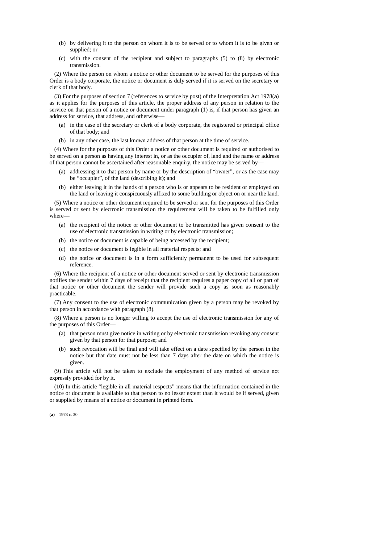- (b) by delivering it to the person on whom it is to be served or to whom it is to be given or supplied; or
- (c) with the consent of the recipient and subject to paragraphs (5) to (8) by electronic transmission.

(2) Where the person on whom a notice or other document to be served for the purposes of this Order is a body corporate, the notice or document is duly served if it is served on the secretary or clerk of that body.

(3) For the purposes of section 7 (references to service by post) of the Interpretation Act 1978(**a**) as it applies for the purposes of this article, the proper address of any person in relation to the service on that person of a notice or document under paragraph (1) is, if that person has given an address for service, that address, and otherwise—

- (a) in the case of the secretary or clerk of a body corporate, the registered or principal office of that body; and
- (b) in any other case, the last known address of that person at the time of service.

(4) Where for the purposes of this Order a notice or other document is required or authorised to be served on a person as having any interest in, or as the occupier of, land and the name or address of that person cannot be ascertained after reasonable enquiry, the notice may be served by—

- (a) addressing it to that person by name or by the description of "owner", or as the case may be "occupier", of the land (describing it); and
- (b) either leaving it in the hands of a person who is or appears to be resident or employed on the land or leaving it conspicuously affixed to some building or object on or near the land.

(5) Where a notice or other document required to be served or sent for the purposes of this Order is served or sent by electronic transmission the requirement will be taken to be fulfilled only where—

- (a) the recipient of the notice or other document to be transmitted has given consent to the use of electronic transmission in writing or by electronic transmission;
- (b) the notice or document is capable of being accessed by the recipient;
- (c) the notice or document is legible in all material respects; and
- (d) the notice or document is in a form sufficiently permanent to be used for subsequent reference.

(6) Where the recipient of a notice or other document served or sent by electronic transmission notifies the sender within 7 days of receipt that the recipient requires a paper copy of all or part of that notice or other document the sender will provide such a copy as soon as reasonably practicable.

(7) Any consent to the use of electronic communication given by a person may be revoked by that person in accordance with paragraph (8).

(8) Where a person is no longer willing to accept the use of electronic transmission for any of the purposes of this Order—

- (a) that person must give notice in writing or by electronic transmission revoking any consent given by that person for that purpose; and
- (b) such revocation will be final and will take effect on a date specified by the person in the notice but that date must not be less than 7 days after the date on which the notice is given.

(9) This article will not be taken to exclude the employment of any method of service not expressly provided for by it.

(10) In this article "legible in all material respects" means that the information contained in the notice or document is available to that person to no lesser extent than it would be if served, given or supplied by means of a notice or document in printed form.

 $\overline{a}$ 

<sup>(</sup>**a**) 1978 c. 30.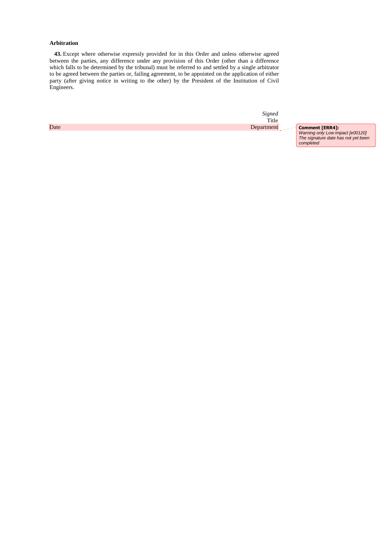### **Arbitration**

**43.** Except where otherwise expressly provided for in this Order and unless otherwise agreed between the parties, any difference under any provision of this Order (other than a difference which falls to be determined by the tribunal) must be referred to and settled by a single arbitrator to be agreed between the parties or, failing agreement, to be appointed on the application of either party (after giving notice in writing to the other) by the President of the Institution of Civil Engineers.

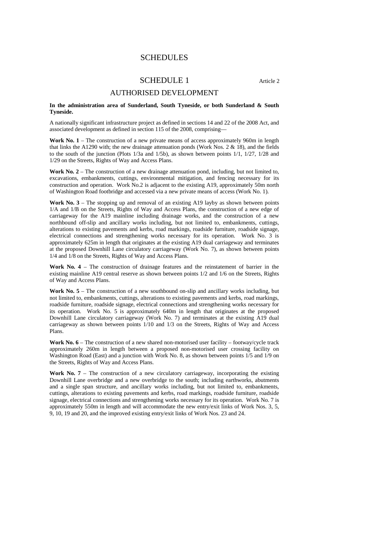## SCHEDULES

## SCHEDULE 1 Article 2

## AUTHORISED DEVELOPMENT

**In the administration area of Sunderland, South Tyneside, or both Sunderland & South Tyneside.** 

A nationally significant infrastructure project as defined in sections 14 and 22 of the 2008 Act, and associated development as defined in section 115 of the 2008, comprising—

**Work No. 1** – The construction of a new private means of access approximately 960m in length that links the A1290 with; the new drainage attenuation ponds (Work Nos. 2 & 18), and the fields to the south of the junction (Plots 1/3a and 1/5b), as shown between points 1/1, 1/27, 1/28 and 1/29 on the Streets, Rights of Way and Access Plans.

**Work No. 2** – The construction of a new drainage attenuation pond, including, but not limited to, excavations, embankments, cuttings, environmental mitigation, and fencing necessary for its construction and operation. Work No.2 is adjacent to the existing A19, approximately 50m north of Washington Road footbridge and accessed via a new private means of access (Work No. 1).

**Work No. 3** – The stopping up and removal of an existing A19 layby as shown between points 1/A and 1/B on the Streets, Rights of Way and Access Plans, the construction of a new edge of carriageway for the A19 mainline including drainage works, and the construction of a new northbound off-slip and ancillary works including, but not limited to, embankments, cuttings, alterations to existing pavements and kerbs, road markings, roadside furniture, roadside signage, electrical connections and strengthening works necessary for its operation. Work No. 3 is approximately 625m in length that originates at the existing A19 dual carriageway and terminates at the proposed Downhill Lane circulatory carriageway (Work No. 7), as shown between points 1/4 and 1/8 on the Streets, Rights of Way and Access Plans.

**Work No. 4** – The construction of drainage features and the reinstatement of barrier in the existing mainline A19 central reserve as shown between points 1/2 and 1/6 on the Streets, Rights of Way and Access Plans.

**Work No. 5** – The construction of a new southbound on-slip and ancillary works including, but not limited to, embankments, cuttings, alterations to existing pavements and kerbs, road markings, roadside furniture, roadside signage, electrical connections and strengthening works necessary for its operation. Work No. 5 is approximately 640m in length that originates at the proposed Downhill Lane circulatory carriageway (Work No. 7) and terminates at the existing A19 dual carriageway as shown between points 1/10 and 1/3 on the Streets, Rights of Way and Access Plans.

**Work No. 6** – The construction of a new shared non-motorised user facility – footway/cycle track approximately 260m in length between a proposed non-motorised user crossing facility on Washington Road (East) and a junction with Work No. 8, as shown between points 1/5 and 1/9 on the Streets, Rights of Way and Access Plans.

Work No. 7 – The construction of a new circulatory carriageway, incorporating the existing Downhill Lane overbridge and a new overbridge to the south; including earthworks, abutments and a single span structure, and ancillary works including, but not limited to, embankments, cuttings, alterations to existing pavements and kerbs, road markings, roadside furniture, roadside signage, electrical connections and strengthening works necessary for its operation. Work No. 7 is approximately 550m in length and will accommodate the new entry/exit links of Work Nos. 3, 5, 9, 10, 19 and 20, and the improved existing entry/exit links of Work Nos. 23 and 24.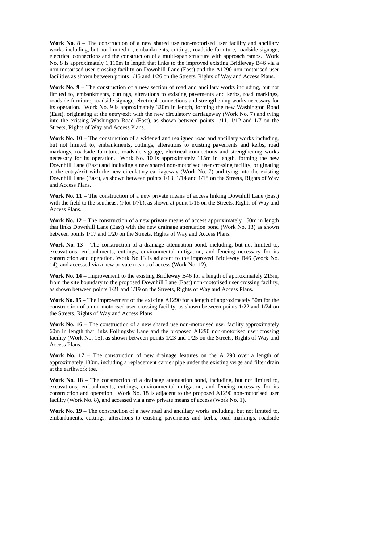**Work No. 8** – The construction of a new shared use non-motorised user facility and ancillary works including, but not limited to, embankments, cuttings, roadside furniture, roadside signage, electrical connections and the construction of a multi-span structure with approach ramps. Work No. 8 is approximately 1,110m in length that links to the improved existing Bridleway B46 via a non-motorised user crossing facility on Downhill Lane (East) and the A1290 non-motorised user facilities as shown between points 1/15 and 1/26 on the Streets, Rights of Way and Access Plans.

**Work No. 9** – The construction of a new section of road and ancillary works including, but not limited to, embankments, cuttings, alterations to existing pavements and kerbs, road markings, roadside furniture, roadside signage, electrical connections and strengthening works necessary for its operation. Work No. 9 is approximately 320m in length, forming the new Washington Road (East), originating at the entry/exit with the new circulatory carriageway (Work No. 7) and tying into the existing Washington Road (East), as shown between points 1/11, 1/12 and 1/7 on the Streets, Rights of Way and Access Plans.

**Work No. 10** – The construction of a widened and realigned road and ancillary works including, but not limited to, embankments, cuttings, alterations to existing pavements and kerbs, road markings, roadside furniture, roadside signage, electrical connections and strengthening works necessary for its operation. Work No. 10 is approximately 115m in length, forming the new Downhill Lane (East) and including a new shared non-motorised user crossing facility; originating at the entry/exit with the new circulatory carriageway (Work No. 7) and tying into the existing Downhill Lane (East), as shown between points 1/13, 1/14 and 1/18 on the Streets, Rights of Way and Access Plans.

**Work No. 11** – The construction of a new private means of access linking Downhill Lane (East) with the field to the southeast (Plot 1/7b), as shown at point 1/16 on the Streets, Rights of Way and Access Plans.

**Work No. 12** – The construction of a new private means of access approximately 150m in length that links Downhill Lane (East) with the new drainage attenuation pond (Work No. 13) as shown between points 1/17 and 1/20 on the Streets, Rights of Way and Access Plans.

**Work No. 13** – The construction of a drainage attenuation pond, including, but not limited to, excavations, embankments, cuttings, environmental mitigation, and fencing necessary for its construction and operation. Work No.13 is adjacent to the improved Bridleway B46 (Work No. 14), and accessed via a new private means of access (Work No. 12).

**Work No. 14** – Improvement to the existing Bridleway B46 for a length of approximately 215m, from the site boundary to the proposed Downhill Lane (East) non-motorised user crossing facility, as shown between points 1/21 and 1/19 on the Streets, Rights of Way and Access Plans.

**Work No. 15** – The improvement of the existing A1290 for a length of approximately 50m for the construction of a non-motorised user crossing facility, as shown between points 1/22 and 1/24 on the Streets, Rights of Way and Access Plans.

Work No. 16 – The construction of a new shared use non-motorised user facility approximately 60m in length that links Follingsby Lane and the proposed A1290 non-motorised user crossing facility (Work No. 15), as shown between points 1/23 and 1/25 on the Streets, Rights of Way and Access Plans.

**Work No. 17** – The construction of new drainage features on the A1290 over a length of approximately 180m, including a replacement carrier pipe under the existing verge and filter drain at the earthwork toe.

**Work No. 18** – The construction of a drainage attenuation pond, including, but not limited to, excavations, embankments, cuttings, environmental mitigation, and fencing necessary for its construction and operation. Work No. 18 is adjacent to the proposed A1290 non-motorised user facility (Work No. 8), and accessed via a new private means of access (Work No. 1).

**Work No. 19** – The construction of a new road and ancillary works including, but not limited to, embankments, cuttings, alterations to existing pavements and kerbs, road markings, roadside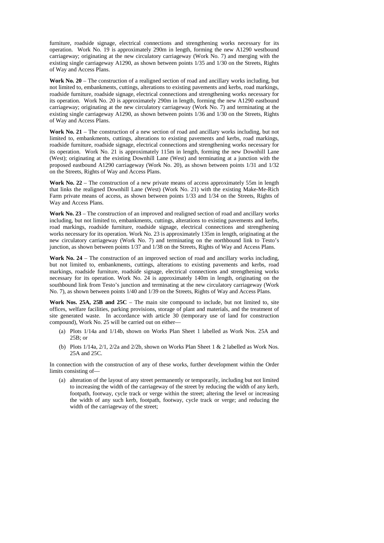furniture, roadside signage, electrical connections and strengthening works necessary for its operation. Work No. 19 is approximately 290m in length, forming the new A1290 westbound carriageway; originating at the new circulatory carriageway (Work No. 7) and merging with the existing single carriageway A1290, as shown between points 1/35 and 1/30 on the Streets, Rights of Way and Access Plans.

**Work No. 20** – The construction of a realigned section of road and ancillary works including, but not limited to, embankments, cuttings, alterations to existing pavements and kerbs, road markings, roadside furniture, roadside signage, electrical connections and strengthening works necessary for its operation. Work No. 20 is approximately 290m in length, forming the new A1290 eastbound carriageway; originating at the new circulatory carriageway (Work No. 7) and terminating at the existing single carriageway A1290, as shown between points 1/36 and 1/30 on the Streets, Rights of Way and Access Plans.

**Work No. 21** – The construction of a new section of road and ancillary works including, but not limited to, embankments, cuttings, alterations to existing pavements and kerbs, road markings, roadside furniture, roadside signage, electrical connections and strengthening works necessary for its operation. Work No. 21 is approximately 115m in length, forming the new Downhill Lane (West); originating at the existing Downhill Lane (West) and terminating at a junction with the proposed eastbound A1290 carriageway (Work No. 20), as shown between points 1/31 and 1/32 on the Streets, Rights of Way and Access Plans.

**Work No. 22** – The construction of a new private means of access approximately 55m in length that links the realigned Downhill Lane (West) (Work No. 21) with the existing Make-Me-Rich Farm private means of access, as shown between points 1/33 and 1/34 on the Streets, Rights of Way and Access Plans.

**Work No. 23** – The construction of an improved and realigned section of road and ancillary works including, but not limited to, embankments, cuttings, alterations to existing pavements and kerbs, road markings, roadside furniture, roadside signage, electrical connections and strengthening works necessary for its operation. Work No. 23 is approximately 135m in length, originating at the new circulatory carriageway (Work No. 7) and terminating on the northbound link to Testo's junction, as shown between points 1/37 and 1/38 on the Streets, Rights of Way and Access Plans.

**Work No. 24** – The construction of an improved section of road and ancillary works including, but not limited to, embankments, cuttings, alterations to existing pavements and kerbs, road markings, roadside furniture, roadside signage, electrical connections and strengthening works necessary for its operation. Work No. 24 is approximately 140m in length, originating on the southbound link from Testo's junction and terminating at the new circulatory carriageway (Work No. 7), as shown between points 1/40 and 1/39 on the Streets, Rights of Way and Access Plans.

**Work Nos. 25A, 25B and 25C** – The main site compound to include, but not limited to, site offices, welfare facilities, parking provisions, storage of plant and materials, and the treatment of site generated waste. In accordance with article 30 (temporary use of land for construction compound), Work No. 25 will be carried out on either—

- (a) Plots 1/14a and 1/14b, shown on Works Plan Sheet 1 labelled as Work Nos. 25A and 25B; or
- (b) Plots 1/14a, 2/1, 2/2a and 2/2b, shown on Works Plan Sheet 1 & 2 labelled as Work Nos. 25A and 25C.

In connection with the construction of any of these works, further development within the Order limits consisting of—

alteration of the layout of any street permanently or temporarily, including but not limited to increasing the width of the carriageway of the street by reducing the width of any kerb, footpath, footway, cycle track or verge within the street; altering the level or increasing the width of any such kerb, footpath, footway, cycle track or verge; and reducing the width of the carriageway of the street;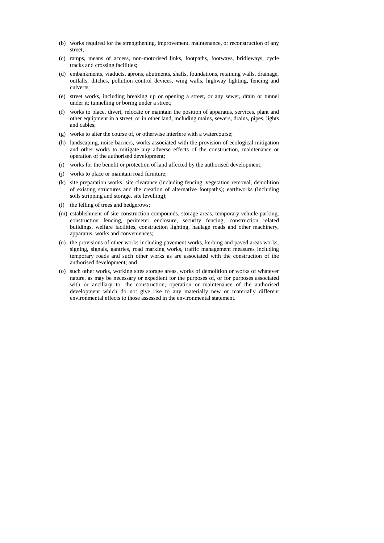- (b) works required for the strengthening, improvement, maintenance, or reconstruction of any street;
- (c) ramps, means of access, non-motorised links, footpaths, footways, bridleways, cycle tracks and crossing facilities;
- (d) embankments, viaducts, aprons, abutments, shafts, foundations, retaining walls, drainage, outfalls, ditches, pollution control devices, wing walls, highway lighting, fencing and culverts;
- (e) street works, including breaking up or opening a street, or any sewer, drain or tunnel under it; tunnelling or boring under a street;
- (f) works to place, divert, relocate or maintain the position of apparatus, services, plant and other equipment in a street, or in other land, including mains, sewers, drains, pipes, lights and cables;
- (g) works to alter the course of, or otherwise interfere with a watercourse;
- (h) landscaping, noise barriers, works associated with the provision of ecological mitigation and other works to mitigate any adverse effects of the construction, maintenance or operation of the authorised development;
- (i) works for the benefit or protection of land affected by the authorised development;
- (j) works to place or maintain road furniture;
- (k) site preparation works, site clearance (including fencing, vegetation removal, demolition of existing structures and the creation of alternative footpaths); earthworks (including soils stripping and storage, site levelling);
- (l) the felling of trees and hedgerows;
- (m) establishment of site construction compounds, storage areas, temporary vehicle parking, construction fencing, perimeter enclosure, security fencing, construction related buildings, welfare facilities, construction lighting, haulage roads and other machinery, apparatus, works and conveniences;
- (n) the provisions of other works including pavement works, kerbing and paved areas works, signing, signals, gantries, road marking works, traffic management measures including temporary roads and such other works as are associated with the construction of the authorised development; and
- (o) such other works, working sites storage areas, works of demolition or works of whatever nature, as may be necessary or expedient for the purposes of, or for purposes associated with or ancillary to, the construction, operation or maintenance of the authorised development which do not give rise to any materially new or materially different environmental effects to those assessed in the environmental statement.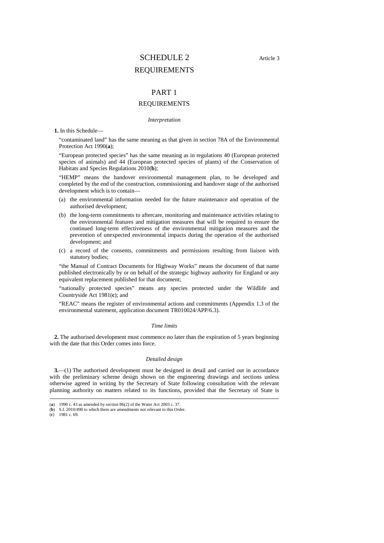## SCHEDULE 2 Article 3 REQUIREMENTS

## PART 1

## REQUIREMENTS

### *Interpretation*

**1.** In this Schedule—

"contaminated land" has the same meaning as that given in section 78A of the Environmental Protection Act 1990(**a**);

"European protected species" has the same meaning as in regulations 40 (European protected species of animals) and 44 (European protected species of plants) of the Conservation of Habitats and Species Regulations 2010(**b**);

"HEMP" means the handover environmental management plan, to be developed and completed by the end of the construction, commissioning and handover stage of the authorised development which is to contain—

- (a) the environmental information needed for the future maintenance and operation of the authorised development;
- (b) the long-term commitments to aftercare, monitoring and maintenance activities relating to the environmental features and mitigation measures that will be required to ensure the continued long-term effectiveness of the environmental mitigation measures and the prevention of unexpected environmental impacts during the operation of the authorised development; and
- (c) a record of the consents, commitments and permissions resulting from liaison with statutory bodies;

"the Manual of Contract Documents for Highway Works" means the document of that name published electronically by or on behalf of the strategic highway authority for England or any equivalent replacement published for that document;

"nationally protected species" means any species protected under the Wildlife and Countryside Act 1981(**c**); and

"REAC" means the register of environmental actions and commitments (Appendix 1.3 of the environmental statement, application document TR010024/APP/6.3).

### *Time limits*

**2.** The authorised development must commence no later than the expiration of 5 years beginning with the date that this Order comes into force.

### *Detailed design*

**3.**—(1) The authorised development must be designed in detail and carried out in accordance with the preliminary scheme design shown on the engineering drawings and sections unless otherwise agreed in writing by the Secretary of State following consultation with the relevant planning authority on matters related to its functions, provided that the Secretary of State is

(**c**) 1981 c. 69.

 $\overline{a}$ 

<sup>(</sup>**a**) 1990 c. 43 as amended by section 86(2) of the Water Act 2003 c. 37.

<sup>(</sup>b) S.I. 2010/490 to which there are amendments not relevant to this Order.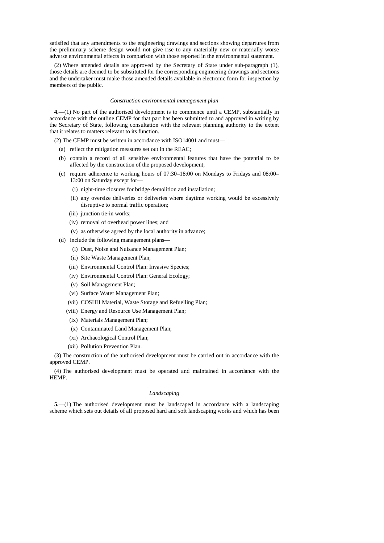satisfied that any amendments to the engineering drawings and sections showing departures from the preliminary scheme design would not give rise to any materially new or materially worse adverse environmental effects in comparison with those reported in the environmental statement.

(2) Where amended details are approved by the Secretary of State under sub-paragraph (1), those details are deemed to be substituted for the corresponding engineering drawings and sections and the undertaker must make those amended details available in electronic form for inspection by members of the public.

#### *Construction environmental management plan*

**4.**—(1) No part of the authorised development is to commence until a CEMP, substantially in accordance with the outline CEMP for that part has been submitted to and approved in writing by the Secretary of State, following consultation with the relevant planning authority to the extent that it relates to matters relevant to its function.

(2) The CEMP must be written in accordance with ISO14001 and must—

- (a) reflect the mitigation measures set out in the REAC;
- (b) contain a record of all sensitive environmental features that have the potential to be affected by the construction of the proposed development;
- (c) require adherence to working hours of 07:30–18:00 on Mondays to Fridays and 08:00– 13:00 on Saturday except for—
	- (i) night-time closures for bridge demolition and installation;
	- (ii) any oversize deliveries or deliveries where daytime working would be excessively disruptive to normal traffic operation;
	- (iii) junction tie-in works;
	- (iv) removal of overhead power lines; and
	- (v) as otherwise agreed by the local authority in advance;
- (d) include the following management plans—
	- (i) Dust, Noise and Nuisance Management Plan;
	- (ii) Site Waste Management Plan;
	- (iii) Environmental Control Plan: Invasive Species;
	- (iv) Environmental Control Plan: General Ecology;
	- (v) Soil Management Plan;
	- (vi) Surface Water Management Plan;
	- (vii) COSHH Material, Waste Storage and Refuelling Plan;
	- (viii) Energy and Resource Use Management Plan;
	- (ix) Materials Management Plan;
	- (x) Contaminated Land Management Plan;
	- (xi) Archaeological Control Plan;
	- (xii) Pollution Prevention Plan.

(3) The construction of the authorised development must be carried out in accordance with the approved CEMP.

(4) The authorised development must be operated and maintained in accordance with the HEMP.

### *Landscaping*

**5.**—(1) The authorised development must be landscaped in accordance with a landscaping scheme which sets out details of all proposed hard and soft landscaping works and which has been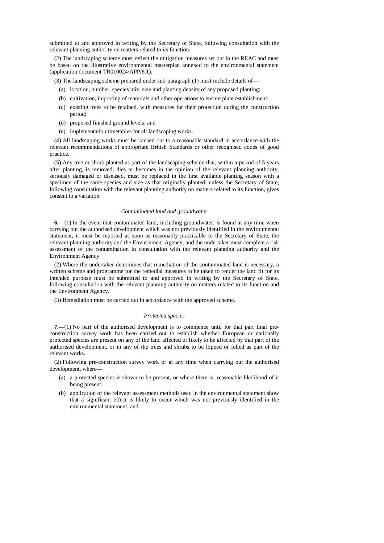submitted to and approved in writing by the Secretary of State, following consultation with the relevant planning authority on matters related to its function.

(2) The landscaping scheme must reflect the mitigation measures set out in the REAC and must be based on the illustrative environmental masterplan annexed to the environmental statement (application document TR010024/APP/6.1).

(3) The landscaping scheme prepared under sub-paragraph (1) must include details of—

- (a) location, number, species mix, size and planting density of any proposed planting;
- (b) cultivation, importing of materials and other operations to ensure plant establishment;
- (c) existing trees to be retained, with measures for their protection during the construction period;
- (d) proposed finished ground levels; and
- (e) implementation timetables for all landscaping works.

(4) All landscaping works must be carried out to a reasonable standard in accordance with the relevant recommendations of appropriate British Standards or other recognised codes of good practice.

(5) Any tree or shrub planted as part of the landscaping scheme that, within a period of 5 years after planting, is removed, dies or becomes in the opinion of the relevant planning authority, seriously damaged or diseased, must be replaced in the first available planting season with a specimen of the same species and size as that originally planted, unless the Secretary of State, following consultation with the relevant planning authority on matters related to its function, gives consent to a variation.

#### *Contaminated land and groundwater*

**6.**—(1) In the event that contaminated land, including groundwater, is found at any time when carrying out the authorised development which was not previously identified in the environmental statement, it must be reported as soon as reasonably practicable to the Secretary of State, the relevant planning authority and the Environment Agency, and the undertaker must complete a risk assessment of the contamination in consultation with the relevant planning authority and the Environment Agency.

(2) Where the undertaker determines that remediation of the contaminated land is necessary, a written scheme and programme for the remedial measures to be taken to render the land fit for its intended purpose must be submitted to and approved in writing by the Secretary of State, following consultation with the relevant planning authority on matters related to its function and the Environment Agency.

(3) Remediation must be carried out in accordance with the approved scheme.

#### *Protected species*

**7.**—(1) No part of the authorised development is to commence until for that part final preconstruction survey work has been carried out to establish whether European or nationally protected species are present on any of the land affected or likely to be affected by that part of the authorised development, or in any of the trees and shrubs to be lopped or felled as part of the relevant works.

(2) Following pre-construction survey work or at any time when carrying out the authorised development, where-

- (a) a protected species is shown to be present, or where there is reasonable likelihood of it being present;
- (b) application of the relevant assessment methods used in the environmental statement show that a significant effect is likely to occur which was not previously identified in the environmental statement; and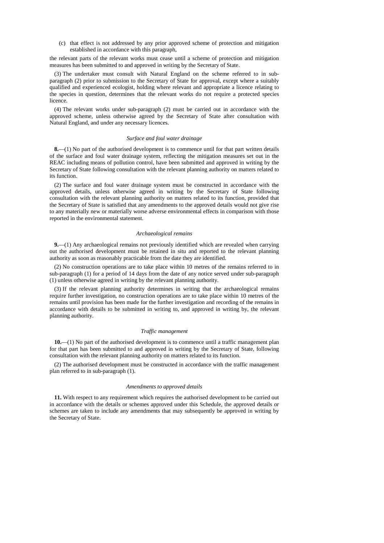(c) that effect is not addressed by any prior approved scheme of protection and mitigation established in accordance with this paragraph,

the relevant parts of the relevant works must cease until a scheme of protection and mitigation measures has been submitted to and approved in writing by the Secretary of State.

(3) The undertaker must consult with Natural England on the scheme referred to in subparagraph (2) prior to submission to the Secretary of State for approval, except where a suitably qualified and experienced ecologist, holding where relevant and appropriate a licence relating to the species in question, determines that the relevant works do not require a protected species licence.

(4) The relevant works under sub-paragraph (2) must be carried out in accordance with the approved scheme, unless otherwise agreed by the Secretary of State after consultation with Natural England, and under any necessary licences.

### *Surface and foul water drainage*

**8.**—(1) No part of the authorised development is to commence until for that part written details of the surface and foul water drainage system, reflecting the mitigation measures set out in the REAC including means of pollution control, have been submitted and approved in writing by the Secretary of State following consultation with the relevant planning authority on matters related to its function.

(2) The surface and foul water drainage system must be constructed in accordance with the approved details, unless otherwise agreed in writing by the Secretary of State following consultation with the relevant planning authority on matters related to its function, provided that the Secretary of State is satisfied that any amendments to the approved details would not give rise to any materially new or materially worse adverse environmental effects in comparison with those reported in the environmental statement.

### *Archaeological remains*

**9.**—(1) Any archaeological remains not previously identified which are revealed when carrying out the authorised development must be retained in situ and reported to the relevant planning authority as soon as reasonably practicable from the date they are identified.

(2) No construction operations are to take place within 10 metres of the remains referred to in sub-paragraph (1) for a period of 14 days from the date of any notice served under sub-paragraph (1) unless otherwise agreed in writing by the relevant planning authority.

(3) If the relevant planning authority determines in writing that the archaeological remains require further investigation, no construction operations are to take place within 10 metres of the remains until provision has been made for the further investigation and recording of the remains in accordance with details to be submitted in writing to, and approved in writing by, the relevant planning authority.

#### *Traffic management*

**10.**—(1) No part of the authorised development is to commence until a traffic management plan for that part has been submitted to and approved in writing by the Secretary of State, following consultation with the relevant planning authority on matters related to its function.

(2) The authorised development must be constructed in accordance with the traffic management plan referred to in sub-paragraph (1).

#### *Amendments to approved details*

**11.** With respect to any requirement which requires the authorised development to be carried out in accordance with the details or schemes approved under this Schedule, the approved details or schemes are taken to include any amendments that may subsequently be approved in writing by the Secretary of State.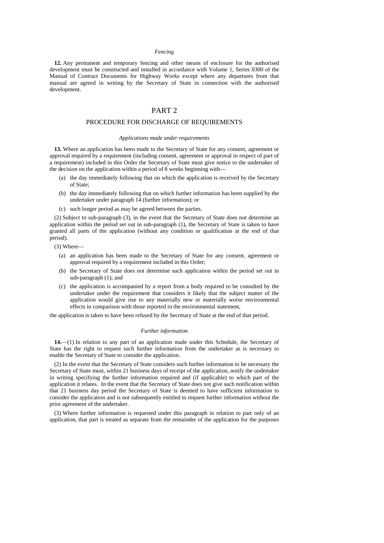### *Fencing*

**12.** Any permanent and temporary fencing and other means of enclosure for the authorised development must be constructed and installed in accordance with Volume 1, Series 0300 of the Manual of Contract Documents for Highway Works except where any departures from that manual are agreed in writing by the Secretary of State in connection with the authorised development.

### PART 2

### PROCEDURE FOR DISCHARGE OF REQUIREMENTS

### *Applications made under requirements*

**13.** Where an application has been made to the Secretary of State for any consent, agreement or approval required by a requirement (including consent, agreement or approval in respect of part of a requirement) included in this Order the Secretary of State must give notice to the undertaker of the decision on the application within a period of 8 weeks beginning with—

- (a) the day immediately following that on which the application is received by the Secretary of State;
- (b) the day immediately following that on which further information has been supplied by the undertaker under paragraph 14 (further information); or
- (c) such longer period as may be agreed between the parties.

(2) Subject to sub-paragraph (3), in the event that the Secretary of State does not determine an application within the period set out in sub-paragraph (1), the Secretary of State is taken to have granted all parts of the application (without any condition or qualification at the end of that period).

(3) Where—

- (a) an application has been made to the Secretary of State for any consent, agreement or approval required by a requirement included in this Order;
- (b) the Secretary of State does not determine such application within the period set out in sub-paragraph (1); and
- (c) the application is accompanied by a report from a body required to be consulted by the undertaker under the requirement that considers it likely that the subject matter of the application would give rise to any materially new or materially worse environmental effects in comparison with those reported in the environmental statement,

the application is taken to have been refused by the Secretary of State at the end of that period.

### *Further information*

**14.**—(1) In relation to any part of an application made under this Schedule, the Secretary of State has the right to request such further information from the undertaker as is necessary to enable the Secretary of State to consider the application.

(2) In the event that the Secretary of State considers such further information to be necessary the Secretary of State must, within 21 business days of receipt of the application, notify the undertaker in writing specifying the further information required and (if applicable) to which part of the application it relates. In the event that the Secretary of State does not give such notification within that 21 business day period the Secretary of State is deemed to have sufficient information to consider the application and is not subsequently entitled to request further information without the prior agreement of the undertaker.

(3) Where further information is requested under this paragraph in relation to part only of an application, that part is treated as separate from the remainder of the application for the purposes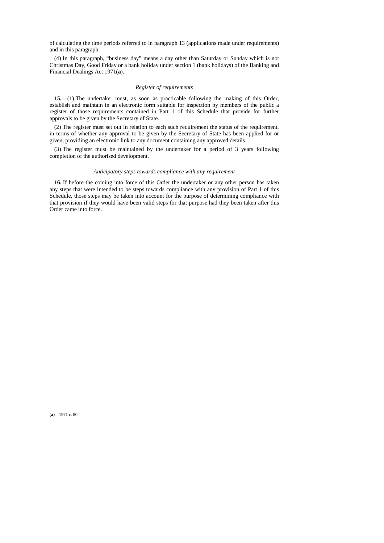of calculating the time periods referred to in paragraph 13 (applications made under requirements) and in this paragraph.

(4) In this paragraph, "business day" means a day other than Saturday or Sunday which is not Christmas Day, Good Friday or a bank holiday under section 1 (bank holidays) of the Banking and Financial Dealings Act 1971(**a**).

### *Register of requirements*

**15.**—(1) The undertaker must, as soon as practicable following the making of this Order, establish and maintain in an electronic form suitable for inspection by members of the public a register of those requirements contained in Part 1 of this Schedule that provide for further approvals to be given by the Secretary of State.

(2) The register must set out in relation to each such requirement the status of the requirement, in terms of whether any approval to be given by the Secretary of State has been applied for or given, providing an electronic link to any document containing any approved details.

(3) The register must be maintained by the undertaker for a period of 3 years following completion of the authorised development.

### *Anticipatory steps towards compliance with any requirement*

**16.** If before the coming into force of this Order the undertaker or any other person has taken any steps that were intended to be steps towards compliance with any provision of Part 1 of this Schedule, those steps may be taken into account for the purpose of determining compliance with that provision if they would have been valid steps for that purpose had they been taken after this Order came into force.

 $\overline{a}$ (**a**) 1971 c. 80.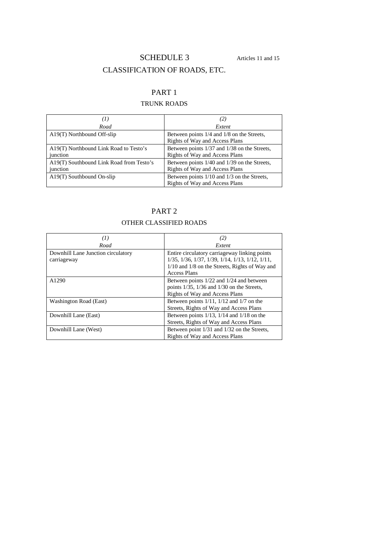SCHEDULE 3 Articles 11 and 15

CLASSIFICATION OF ROADS, ETC.

## PART 1

## TRUNK ROADS

| (I)                                      | (2)                                          |
|------------------------------------------|----------------------------------------------|
| Road                                     | Extent                                       |
| A19(T) Northbound Off-slip               | Between points 1/4 and 1/8 on the Streets,   |
|                                          | Rights of Way and Access Plans               |
| A19(T) Northbound Link Road to Testo's   | Between points 1/37 and 1/38 on the Streets, |
| junction                                 | Rights of Way and Access Plans               |
| A19(T) Southbound Link Road from Testo's | Between points 1/40 and 1/39 on the Streets, |
| junction                                 | Rights of Way and Access Plans               |
| $A19(T)$ Southbound On-slip              | Between points 1/10 and 1/3 on the Streets,  |
|                                          | Rights of Way and Access Plans               |

## PART 2

## OTHER CLASSIFIED ROADS

| (1)                                               | (2)                                                                                                                                                                                                   |  |
|---------------------------------------------------|-------------------------------------------------------------------------------------------------------------------------------------------------------------------------------------------------------|--|
| Road                                              | Extent                                                                                                                                                                                                |  |
| Downhill Lane Junction circulatory<br>carriageway | Entire circulatory carriageway linking points<br>$1/35$ , $1/36$ , $1/37$ , $1/39$ , $1/14$ , $1/13$ , $1/12$ , $1/11$ ,<br>$1/10$ and $1/8$ on the Streets, Rights of Way and<br><b>Access Plans</b> |  |
| A1290                                             | Between points 1/22 and 1/24 and between<br>points $1/35$ , $1/36$ and $1/30$ on the Streets,<br>Rights of Way and Access Plans                                                                       |  |
| Washington Road (East)                            | Between points $1/11$ , $1/12$ and $1/7$ on the<br>Streets, Rights of Way and Access Plans                                                                                                            |  |
| Downhill Lane (East)                              | Between points $1/13$ , $1/14$ and $1/18$ on the<br>Streets, Rights of Way and Access Plans                                                                                                           |  |
| Downhill Lane (West)                              | Between point 1/31 and 1/32 on the Streets,<br>Rights of Way and Access Plans                                                                                                                         |  |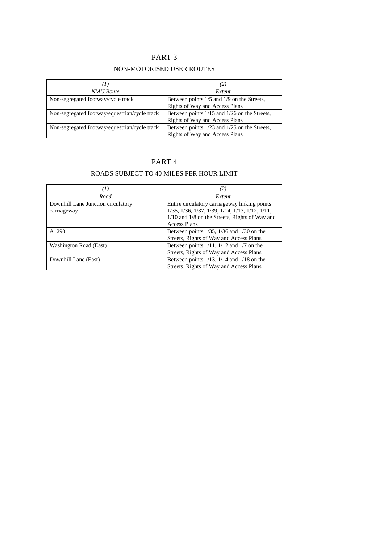## PART 3

## NON-MOTORISED USER ROUTES

| $\left( \frac{1}{2} \right)$                  |                                              |  |
|-----------------------------------------------|----------------------------------------------|--|
| <b>NMU</b> Route                              | Extent                                       |  |
| Non-segregated footway/cycle track            | Between points 1/5 and 1/9 on the Streets,   |  |
|                                               | Rights of Way and Access Plans               |  |
| Non-segregated footway/equestrian/cycle track | Between points 1/15 and 1/26 on the Streets, |  |
|                                               | Rights of Way and Access Plans               |  |
| Non-segregated footway/equestrian/cycle track | Between points 1/23 and 1/25 on the Streets, |  |
|                                               | Rights of Way and Access Plans               |  |

## PART 4

## ROADS SUBJECT TO 40 MILES PER HOUR LIMIT

|                                                   | (2)                                                                                                                                                                           |
|---------------------------------------------------|-------------------------------------------------------------------------------------------------------------------------------------------------------------------------------|
| Road                                              | Extent                                                                                                                                                                        |
| Downhill Lane Junction circulatory<br>carriageway | Entire circulatory carriageway linking points<br>1/35, 1/36, 1/37, 1/39, 1/14, 1/13, 1/12, 1/11,<br>$1/10$ and $1/8$ on the Streets, Rights of Way and<br><b>Access Plans</b> |
| A1290                                             | Between points $1/35$ , $1/36$ and $1/30$ on the<br>Streets, Rights of Way and Access Plans                                                                                   |
| Washington Road (East)                            | Between points $1/11$ , $1/12$ and $1/7$ on the<br>Streets, Rights of Way and Access Plans                                                                                    |
| Downhill Lane (East)                              | Between points $1/13$ , $1/14$ and $1/18$ on the<br>Streets, Rights of Way and Access Plans                                                                                   |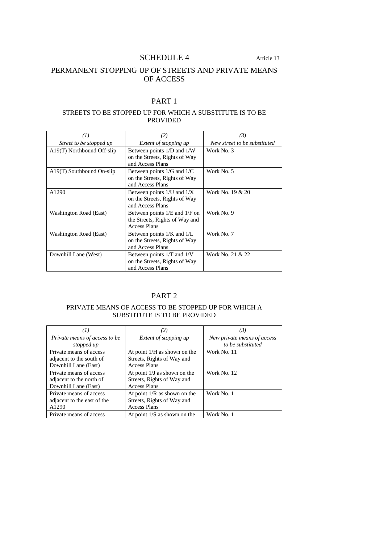## SCHEDULE 4 Article 13

## PERMANENT STOPPING UP OF STREETS AND PRIVATE MEANS OF ACCESS

## PART 1

## STREETS TO BE STOPPED UP FOR WHICH A SUBSTITUTE IS TO BE PROVIDED

| $\left( I\right)$          | (2)                            | (3)                          |
|----------------------------|--------------------------------|------------------------------|
| Street to be stopped up    | Extent of stopping up          | New street to be substituted |
| A19(T) Northbound Off-slip | Between points 1/D and 1/W     | Work No. 3                   |
|                            | on the Streets, Rights of Way  |                              |
|                            | and Access Plans               |                              |
| A19(T) Southbound On-slip  | Between points 1/G and 1/C     | Work No. 5                   |
|                            | on the Streets, Rights of Way  |                              |
|                            | and Access Plans               |                              |
| A <sub>1290</sub>          | Between points 1/U and 1/X     | Work No. 19 & 20             |
|                            | on the Streets, Rights of Way  |                              |
|                            | and Access Plans               |                              |
| Washington Road (East)     | Between points 1/E and 1/F on  | Work No. 9                   |
|                            | the Streets, Rights of Way and |                              |
|                            | <b>Access Plans</b>            |                              |
| Washington Road (East)     | Between points 1/K and 1/L     | Work No. 7                   |
|                            | on the Streets, Rights of Way  |                              |
|                            | and Access Plans               |                              |
| Downhill Lane (West)       | Between points 1/T and 1/V     | Work No. 21 & 22             |
|                            | on the Streets, Rights of Way  |                              |
|                            | and Access Plans               |                              |

## PART 2

## PRIVATE MEANS OF ACCESS TO BE STOPPED UP FOR WHICH A SUBSTITUTE IS TO BE PROVIDED

| $\left( I\right)$                           |                                | (3)                                              |
|---------------------------------------------|--------------------------------|--------------------------------------------------|
| Private means of access to be<br>stopped up | Extent of stopping up          | New private means of access<br>to be substituted |
| Private means of access                     | At point $1/H$ as shown on the | Work No. 11                                      |
| adjacent to the south of                    | Streets, Rights of Way and     |                                                  |
| Downhill Lane (East)                        | <b>Access Plans</b>            |                                                  |
| Private means of access                     | At point 1/J as shown on the   | Work No. 12                                      |
| adjacent to the north of                    | Streets, Rights of Way and     |                                                  |
| Downhill Lane (East)                        | <b>Access Plans</b>            |                                                  |
| Private means of access                     | At point $1/R$ as shown on the | Work No. 1                                       |
| adjacent to the east of the                 | Streets, Rights of Way and     |                                                  |
| A1290                                       | <b>Access Plans</b>            |                                                  |
| Private means of access                     | At point $1/S$ as shown on the | Work No. 1                                       |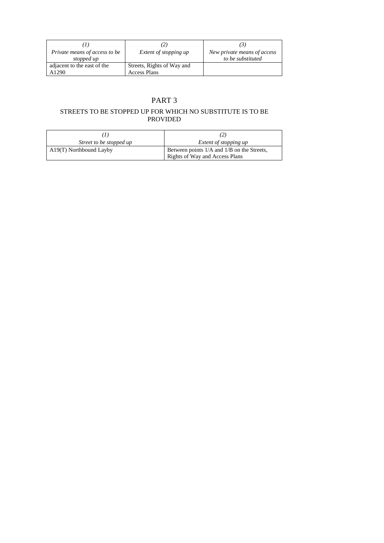| $\boldsymbol{\varLambda}$                   |                                                   |                                                  |
|---------------------------------------------|---------------------------------------------------|--------------------------------------------------|
| Private means of access to be<br>stopped up | Extent of stopping up                             | New private means of access<br>to be substituted |
| adjacent to the east of the<br>A1290        | Streets, Rights of Way and<br><b>Access Plans</b> |                                                  |

## PART 3

## STREETS TO BE STOPPED UP FOR WHICH NO SUBSTITUTE IS TO BE PROVIDED

| Street to be stopped up | Extent of stopping up                                                        |  |
|-------------------------|------------------------------------------------------------------------------|--|
| A19(T) Northbound Layby | Between points 1/A and 1/B on the Streets,<br>Rights of Way and Access Plans |  |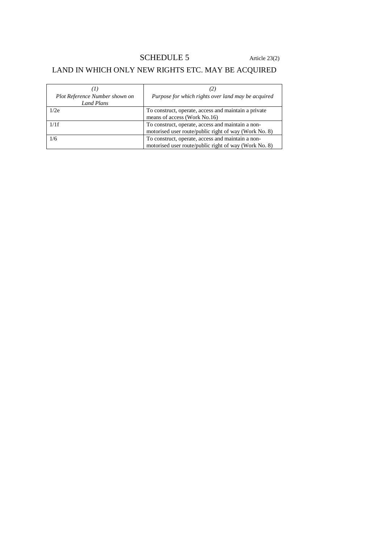## SCHEDULE 5 Article 23(2)

## LAND IN WHICH ONLY NEW RIGHTS ETC. MAY BE ACQUIRED

| Plot Reference Number shown on<br>Land Plans | Purpose for which rights over land may be acquired                                                         |
|----------------------------------------------|------------------------------------------------------------------------------------------------------------|
| 1/2e                                         | To construct, operate, access and maintain a private<br>means of access (Work No.16)                       |
| 1/1f                                         | To construct, operate, access and maintain a non-<br>motorised user route/public right of way (Work No. 8) |
| 1/6                                          | To construct, operate, access and maintain a non-<br>motorised user route/public right of way (Work No. 8) |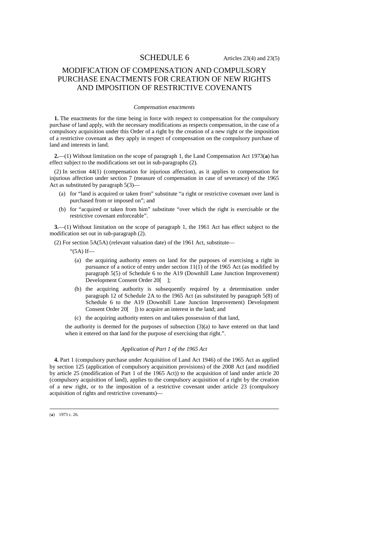## MODIFICATION OF COMPENSATION AND COMPULSORY PURCHASE ENACTMENTS FOR CREATION OF NEW RIGHTS AND IMPOSITION OF RESTRICTIVE COVENANTS

#### *Compensation enactments*

**1.** The enactments for the time being in force with respect to compensation for the compulsory purchase of land apply, with the necessary modifications as respects compensation, in the case of a compulsory acquisition under this Order of a right by the creation of a new right or the imposition of a restrictive covenant as they apply in respect of compensation on the compulsory purchase of land and interests in land.

**2.**—(1) Without limitation on the scope of paragraph 1, the Land Compensation Act 1973(**a**) has effect subject to the modifications set out in sub-paragraphs (2).

(2) In section 44(1) (compensation for injurious affection), as it applies to compensation for injurious affection under section 7 (measure of compensation in case of severance) of the 1965 Act as substituted by paragraph 5(3)—

- (a) for "land is acquired or taken from" substitute "a right or restrictive covenant over land is purchased from or imposed on"; and
- (b) for "acquired or taken from him" substitute "over which the right is exercisable or the restrictive covenant enforceable".

**3.**—(1) Without limitation on the scope of paragraph 1, the 1961 Act has effect subject to the modification set out in sub-paragraph (2).

(2) For section 5A(5A) (relevant valuation date) of the 1961 Act, substitute—

"(5A) If—

- (a) the acquiring authority enters on land for the purposes of exercising a right in pursuance of a notice of entry under section 11(1) of the 1965 Act (as modified by paragraph 5(5) of Schedule 6 to the A19 (Downhill Lane Junction Improvement) Development Consent Order 20[ ];
- (b) the acquiring authority is subsequently required by a determination under paragraph 12 of Schedule 2A to the 1965 Act (as substituted by paragraph 5(8) of Schedule 6 to the A19 (Downhill Lane Junction Improvement) Development Consent Order 20[ ]) to acquire an interest in the land; and
- (c) the acquiring authority enters on and takes possession of that land,

the authority is deemed for the purposes of subsection (3)(a) to have entered on that land when it entered on that land for the purpose of exercising that right.".

### *Application of Part 1 of the 1965 Act*

**4.** Part 1 (compulsory purchase under Acquisition of Land Act 1946) of the 1965 Act as applied by section 125 (application of compulsory acquisition provisions) of the 2008 Act (and modified by article 25 (modification of Part 1 of the 1965 Act)) to the acquisition of land under article 20 (compulsory acquisition of land), applies to the compulsory acquisition of a right by the creation of a new right, or to the imposition of a restrictive covenant under article 23 (compulsory acquisition of rights and restrictive covenants)—

 $\overline{a}$ 

<sup>(</sup>**a**) 1973 c. 26.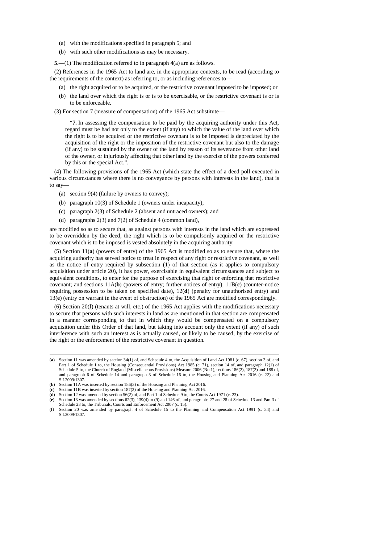- (a) with the modifications specified in paragraph 5; and
- (b) with such other modifications as may be necessary.

**5.**—(1) The modification referred to in paragraph 4(a) are as follows.

(2) References in the 1965 Act to land are, in the appropriate contexts, to be read (according to the requirements of the context) as referring to, or as including references to—

- (a) the right acquired or to be acquired, or the restrictive covenant imposed to be imposed; or
- (b) the land over which the right is or is to be exercisable, or the restrictive covenant is or is to be enforceable.
- (3) For section 7 (measure of compensation) of the 1965 Act substitute—

"**7.** In assessing the compensation to be paid by the acquiring authority under this Act, regard must be had not only to the extent (if any) to which the value of the land over which the right is to be acquired or the restrictive covenant is to be imposed is depreciated by the acquisition of the right or the imposition of the restrictive covenant but also to the damage (if any) to be sustained by the owner of the land by reason of its severance from other land of the owner, or injuriously affecting that other land by the exercise of the powers conferred by this or the special Act.".

(4) The following provisions of the 1965 Act (which state the effect of a deed poll executed in various circumstances where there is no conveyance by persons with interests in the land), that is to say—

- (a) section 9(4) (failure by owners to convey);
- (b) paragraph 10(3) of Schedule 1 (owners under incapacity);
- (c) paragraph 2(3) of Schedule 2 (absent and untraced owners); and
- (d) paragraphs 2(3) and 7(2) of Schedule 4 (common land),

are modified so as to secure that, as against persons with interests in the land which are expressed to be overridden by the deed, the right which is to be compulsorily acquired or the restrictive covenant which is to be imposed is vested absolutely in the acquiring authority.

(5) Section 11(**a**) (powers of entry) of the 1965 Act is modified so as to secure that, where the acquiring authority has served notice to treat in respect of any right or restrictive covenant, as well as the notice of entry required by subsection  $(1)$  of that section (as it applies to compulsory acquisition under article 20), it has power, exercisable in equivalent circumstances and subject to equivalent conditions, to enter for the purpose of exercising that right or enforcing that restrictive covenant; and sections 11A(**b**) (powers of entry; further notices of entry), 11B(**c**) (counter-notice requiring possession to be taken on specified date), 12(**d**) (penalty for unauthorised entry) and 13(**e**) (entry on warrant in the event of obstruction) of the 1965 Act are modified correspondingly.

(6) Section 20(**f**) (tenants at will, etc.) of the 1965 Act applies with the modifications necessary to secure that persons with such interests in land as are mentioned in that section are compensated in a manner corresponding to that in which they would be compensated on a compulsory acquisition under this Order of that land, but taking into account only the extent (if any) of such interference with such an interest as is actually caused, or likely to be caused, by the exercise of the right or the enforcement of the restrictive covenant in question.

-

<sup>(</sup>**a**) Section 11 was amended by section 34(1) of, and Schedule 4 to, the Acquisition of Land Act 1981 (c. 67), section 3 of, and Part 1 of Schedule 1 to, the Housing (Consequential Provisions) Act 1985 (c. 71), section 14 of, and paragraph 12(1) of Schedule 5 to, the Church of England (Miscellaneous Provisions) Measure 2006 (No.1), sections 186(2), 187(2) and 188 of, and paragraph 6 of Schedule 14 and paragraph 3 of Schedule 16 to, the Housing and Planning Act 2016 (c. 22) and S.I.2009/1307.

<sup>(</sup>**b**) Section 11A was inserted by section 186(3) of the Housing and Planning Act 2016.

Section 11B was inserted by section 187(2) of the Housing and Planning Act 2016. (**d**) Section 12 was amended by section 56(2) of, and Part 1 of Schedule 9 to, the Courts Act 1971 (c. 23).

<sup>(</sup>**e**) Section 13 was amended by sections 62(3), 139(4) to (9) and 146 of, and paragraphs 27 and 28 of Schedule 13 and Part 3 of

Schedule 23 to, the Tribunals, Courts and Enforcement Act 2007 (c. 15).

<sup>(</sup>**f**) Section 20 was amended by paragraph 4 of Schedule 15 to the Planning and Compensation Act 1991 (c. 34) and S.I.2009/1307.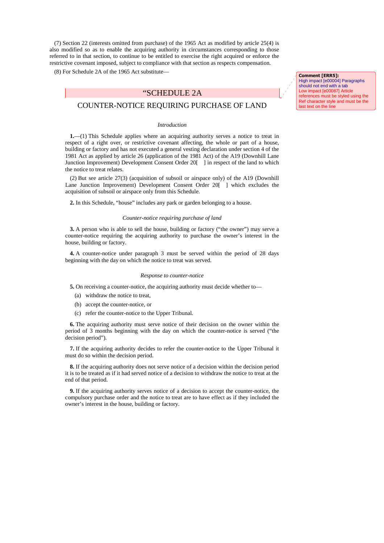(7) Section 22 (interests omitted from purchase) of the 1965 Act as modified by article 25(4) is also modified so as to enable the acquiring authority in circumstances corresponding to those referred to in that section, to continue to be entitled to exercise the right acquired or enforce the restrictive covenant imposed, subject to compliance with that section as respects compensation.

(8) For Schedule 2A of the 1965 Act substitute—

## "SCHEDULE 2A

## COUNTER-NOTICE REQUIRING PURCHASE OF LAND

### *Introduction*

**1.**—(1) This Schedule applies where an acquiring authority serves a notice to treat in respect of a right over, or restrictive covenant affecting, the whole or part of a house, building or factory and has not executed a general vesting declaration under section 4 of the 1981 Act as applied by article 26 (application of the 1981 Act) of the A19 (Downhill Lane Junction Improvement) Development Consent Order 20[ ] in respect of the land to which the notice to treat relates.

(2) But see article 27(3) (acquisition of subsoil or airspace only) of the A19 (Downhill Lane Junction Improvement) Development Consent Order 20[ 1 which excludes the acquisition of subsoil or airspace only from this Schedule.

**2.** In this Schedule, "house" includes any park or garden belonging to a house.

#### *Counter-notice requiring purchase of land*

**3.** A person who is able to sell the house, building or factory ("the owner") may serve a counter-notice requiring the acquiring authority to purchase the owner's interest in the house, building or factory.

**4.** A counter-notice under paragraph 3 must be served within the period of 28 days beginning with the day on which the notice to treat was served.

#### *Response to counter-notice*

**5.** On receiving a counter-notice, the acquiring authority must decide whether to—

- (a) withdraw the notice to treat,
- (b) accept the counter-notice, or
- (c) refer the counter-notice to the Upper Tribunal.

**6.** The acquiring authority must serve notice of their decision on the owner within the period of 3 months beginning with the day on which the counter-notice is served ("the decision period").

**7.** If the acquiring authority decides to refer the counter-notice to the Upper Tribunal it must do so within the decision period.

**8.** If the acquiring authority does not serve notice of a decision within the decision period it is to be treated as if it had served notice of a decision to withdraw the notice to treat at the end of that period.

**9.** If the acquiring authority serves notice of a decision to accept the counter-notice, the compulsory purchase order and the notice to treat are to have effect as if they included the owner's interest in the house, building or factory.

**Comment [ERR5]:** 

High impact [e00004] Paragraphs should not end with a tab Low impact [e00087] Article references must be styled using the Ref character style and must be the last text on the line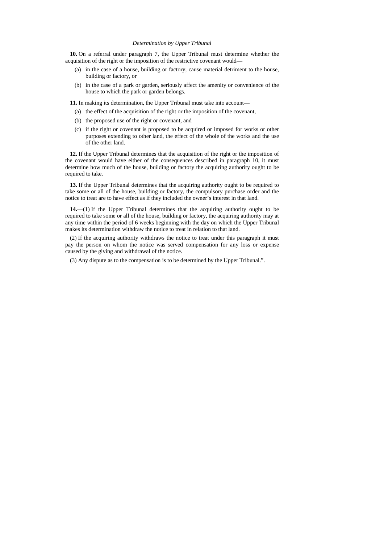**10.** On a referral under paragraph 7, the Upper Tribunal must determine whether the acquisition of the right or the imposition of the restrictive covenant would—

- (a) in the case of a house, building or factory, cause material detriment to the house, building or factory, or
- (b) in the case of a park or garden, seriously affect the amenity or convenience of the house to which the park or garden belongs.

**11.** In making its determination, the Upper Tribunal must take into account—

- (a) the effect of the acquisition of the right or the imposition of the covenant,
- (b) the proposed use of the right or covenant, and
- (c) if the right or covenant is proposed to be acquired or imposed for works or other purposes extending to other land, the effect of the whole of the works and the use of the other land.

**12.** If the Upper Tribunal determines that the acquisition of the right or the imposition of the covenant would have either of the consequences described in paragraph 10, it must determine how much of the house, building or factory the acquiring authority ought to be required to take.

**13.** If the Upper Tribunal determines that the acquiring authority ought to be required to take some or all of the house, building or factory, the compulsory purchase order and the notice to treat are to have effect as if they included the owner's interest in that land.

**14.**—(1) If the Upper Tribunal determines that the acquiring authority ought to be required to take some or all of the house, building or factory, the acquiring authority may at any time within the period of 6 weeks beginning with the day on which the Upper Tribunal makes its determination withdraw the notice to treat in relation to that land.

(2) If the acquiring authority withdraws the notice to treat under this paragraph it must pay the person on whom the notice was served compensation for any loss or expense caused by the giving and withdrawal of the notice.

(3) Any dispute as to the compensation is to be determined by the Upper Tribunal.".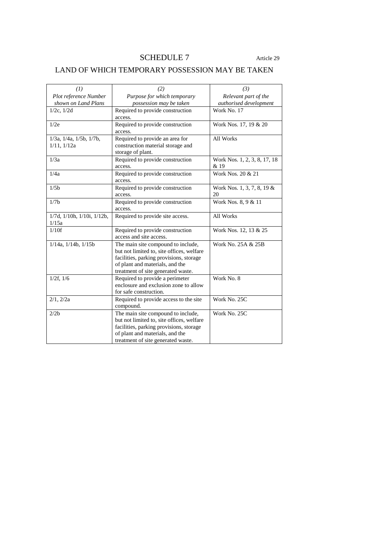## SCHEDULE 7 Article 29

## LAND OF WHICH TEMPORARY POSSESSION MAY BE TAKEN

| (I)                                    | (2)                                       | (3)                          |
|----------------------------------------|-------------------------------------------|------------------------------|
| Plot reference Number                  | Purpose for which temporary               | Relevant part of the         |
| shown on Land Plans                    | possession may be taken                   | authorised development       |
| $1/2c$ , $1/2d$                        | Required to provide construction          | Work No. 17                  |
|                                        | access.                                   |                              |
| 1/2e                                   | Required to provide construction          | Work Nos. 17, 19 & 20        |
|                                        | access.                                   |                              |
| 1/3a, 1/4a, 1/5b, 1/7b,                | Required to provide an area for           | All Works                    |
| $1/11$ , $1/12a$                       | construction material storage and         |                              |
|                                        | storage of plant.                         |                              |
| 1/3a                                   | Required to provide construction          | Work Nos. 1, 2, 3, 8, 17, 18 |
|                                        | access.                                   | & 19                         |
| 1/4a                                   | Required to provide construction          | Work Nos. 20 & 21            |
|                                        | access.                                   |                              |
| 1/5 <sub>b</sub>                       | Required to provide construction          | Work Nos. 1, 3, 7, 8, 19 &   |
|                                        | access.                                   | 20                           |
| 1/7 <sub>b</sub>                       | Required to provide construction          | Work Nos. 8, 9 & 11          |
|                                        | access.                                   |                              |
| $1/7d$ , $1/10h$ , $1/10i$ , $1/12b$ , | Required to provide site access.          | All Works                    |
| 1/15a                                  |                                           |                              |
| 1/10f                                  | Required to provide construction          | Work Nos. 12, 13 & 25        |
|                                        | access and site access.                   |                              |
| $1/14a$ , $1/14b$ , $1/15b$            | The main site compound to include,        | Work No. 25A & 25B           |
|                                        | but not limited to, site offices, welfare |                              |
|                                        | facilities, parking provisions, storage   |                              |
|                                        | of plant and materials, and the           |                              |
|                                        | treatment of site generated waste.        |                              |
| 1/2f, 1/6                              | Required to provide a perimeter           | Work No. 8                   |
|                                        | enclosure and exclusion zone to allow     |                              |
|                                        | for safe construction.                    |                              |
| 2/1, 2/2a                              | Required to provide access to the site    | Work No. 25C                 |
|                                        | compound.                                 |                              |
| 2/2b                                   | The main site compound to include,        | Work No. 25C                 |
|                                        | but not limited to, site offices, welfare |                              |
|                                        | facilities, parking provisions, storage   |                              |
|                                        | of plant and materials, and the           |                              |
|                                        | treatment of site generated waste.        |                              |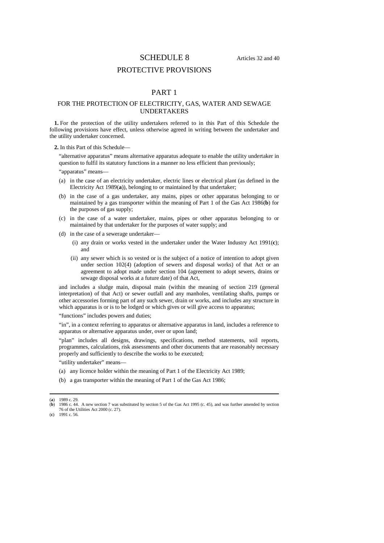SCHEDULE 8 Articles 32 and 40

## PROTECTIVE PROVISIONS

## PART 1

## FOR THE PROTECTION OF ELECTRICITY, GAS, WATER AND SEWAGE UNDERTAKERS

**1.** For the protection of the utility undertakers referred to in this Part of this Schedule the following provisions have effect, unless otherwise agreed in writing between the undertaker and the utility undertaker concerned.

**2.** In this Part of this Schedule—

"alternative apparatus" means alternative apparatus adequate to enable the utility undertaker in question to fulfil its statutory functions in a manner no less efficient than previously;

"apparatus" means—

- (a) in the case of an electricity undertaker, electric lines or electrical plant (as defined in the Electricity Act 1989(**a**)), belonging to or maintained by that undertaker;
- (b) in the case of a gas undertaker, any mains, pipes or other apparatus belonging to or maintained by a gas transporter within the meaning of Part 1 of the Gas Act 1986(**b**) for the purposes of gas supply;
- (c) in the case of a water undertaker, mains, pipes or other apparatus belonging to or maintained by that undertaker for the purposes of water supply; and
- (d) in the case of a sewerage undertaker—
	- (i) any drain or works vested in the undertaker under the Water Industry Act 1991(**c**); and
	- (ii) any sewer which is so vested or is the subject of a notice of intention to adopt given under section 102(4) (adoption of sewers and disposal works) of that Act or an agreement to adopt made under section 104 (agreement to adopt sewers, drains or sewage disposal works at a future date) of that Act,

and includes a sludge main, disposal main (within the meaning of section 219 (general interpretation) of that Act) or sewer outfall and any manholes, ventilating shafts, pumps or other accessories forming part of any such sewer, drain or works, and includes any structure in which apparatus is or is to be lodged or which gives or will give access to apparatus;

"functions" includes powers and duties;

"in", in a context referring to apparatus or alternative apparatus in land, includes a reference to apparatus or alternative apparatus under, over or upon land;

"plan" includes all designs, drawings, specifications, method statements, soil reports, programmes, calculations, risk assessments and other documents that are reasonably necessary properly and sufficiently to describe the works to be executed;

"utility undertaker" means—

- (a) any licence holder within the meaning of Part 1 of the Electricity Act 1989;
- (b) a gas transporter within the meaning of Part 1 of the Gas Act 1986;

-

<sup>(</sup>**a**) 1989 c. 29.

<sup>(</sup>**b**) 1986 c. 44. A new section 7 was substituted by section 5 of the Gas Act 1995 (c. 45), and was further amended by section 76 of the Utilities Act 2000 (c. 27).

<sup>(</sup>**c**) 1991 c. 56.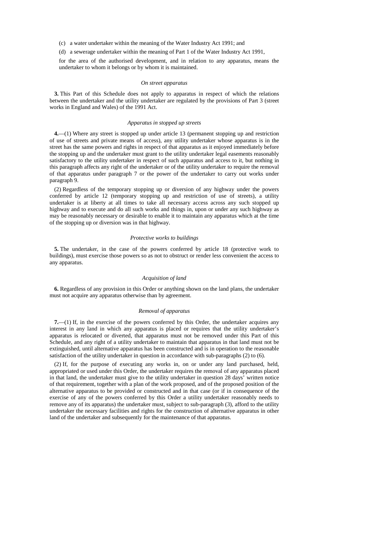- (c) a water undertaker within the meaning of the Water Industry Act 1991; and
- (d) a sewerage undertaker within the meaning of Part 1 of the Water Industry Act 1991,

for the area of the authorised development, and in relation to any apparatus, means the undertaker to whom it belongs or by whom it is maintained.

### *On street apparatus*

**3.** This Part of this Schedule does not apply to apparatus in respect of which the relations between the undertaker and the utility undertaker are regulated by the provisions of Part 3 (street works in England and Wales) of the 1991 Act.

### *Apparatus in stopped up streets*

**4.**—(1) Where any street is stopped up under article 13 (permanent stopping up and restriction of use of streets and private means of access), any utility undertaker whose apparatus is in the street has the same powers and rights in respect of that apparatus as it enjoyed immediately before the stopping up and the undertaker must grant to the utility undertaker legal easements reasonably satisfactory to the utility undertaker in respect of such apparatus and access to it, but nothing in this paragraph affects any right of the undertaker or of the utility undertaker to require the removal of that apparatus under paragraph 7 or the power of the undertaker to carry out works under paragraph 9.

(2) Regardless of the temporary stopping up or diversion of any highway under the powers conferred by article 12 (temporary stopping up and restriction of use of streets), a utility undertaker is at liberty at all times to take all necessary access across any such stopped up highway and to execute and do all such works and things in, upon or under any such highway as may be reasonably necessary or desirable to enable it to maintain any apparatus which at the time of the stopping up or diversion was in that highway.

### *Protective works to buildings*

**5.** The undertaker, in the case of the powers conferred by article 18 (protective work to buildings), must exercise those powers so as not to obstruct or render less convenient the access to any apparatus.

### *Acquisition of land*

**6.** Regardless of any provision in this Order or anything shown on the land plans, the undertaker must not acquire any apparatus otherwise than by agreement.

### *Removal of apparatus*

**7.**—(1) If, in the exercise of the powers conferred by this Order, the undertaker acquires any interest in any land in which any apparatus is placed or requires that the utility undertaker's apparatus is relocated or diverted, that apparatus must not be removed under this Part of this Schedule, and any right of a utility undertaker to maintain that apparatus in that land must not be extinguished, until alternative apparatus has been constructed and is in operation to the reasonable satisfaction of the utility undertaker in question in accordance with sub-paragraphs (2) to (6).

(2) If, for the purpose of executing any works in, on or under any land purchased, held, appropriated or used under this Order, the undertaker requires the removal of any apparatus placed in that land, the undertaker must give to the utility undertaker in question 28 days' written notice of that requirement, together with a plan of the work proposed, and of the proposed position of the alternative apparatus to be provided or constructed and in that case (or if in consequence of the exercise of any of the powers conferred by this Order a utility undertaker reasonably needs to remove any of its apparatus) the undertaker must, subject to sub-paragraph (3), afford to the utility undertaker the necessary facilities and rights for the construction of alternative apparatus in other land of the undertaker and subsequently for the maintenance of that apparatus.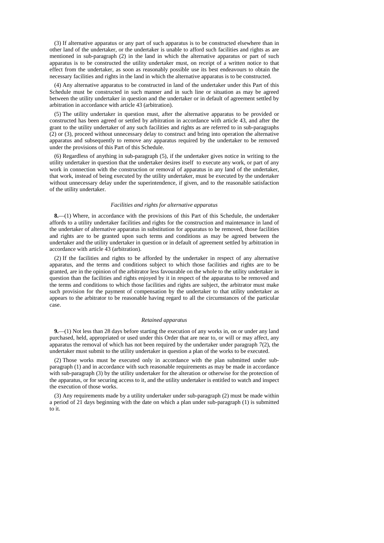(3) If alternative apparatus or any part of such apparatus is to be constructed elsewhere than in other land of the undertaker, or the undertaker is unable to afford such facilities and rights as are mentioned in sub-paragraph (2) in the land in which the alternative apparatus or part of such apparatus is to be constructed the utility undertaker must, on receipt of a written notice to that effect from the undertaker, as soon as reasonably possible use its best endeavours to obtain the necessary facilities and rights in the land in which the alternative apparatus is to be constructed.

(4) Any alternative apparatus to be constructed in land of the undertaker under this Part of this Schedule must be constructed in such manner and in such line or situation as may be agreed between the utility undertaker in question and the undertaker or in default of agreement settled by arbitration in accordance with article 43 (arbitration).

(5) The utility undertaker in question must, after the alternative apparatus to be provided or constructed has been agreed or settled by arbitration in accordance with article 43, and after the grant to the utility undertaker of any such facilities and rights as are referred to in sub-paragraphs (2) or (3), proceed without unnecessary delay to construct and bring into operation the alternative apparatus and subsequently to remove any apparatus required by the undertaker to be removed under the provisions of this Part of this Schedule.

(6) Regardless of anything in sub-paragraph (5), if the undertaker gives notice in writing to the utility undertaker in question that the undertaker desires itself to execute any work, or part of any work in connection with the construction or removal of apparatus in any land of the undertaker, that work, instead of being executed by the utility undertaker, must be executed by the undertaker without unnecessary delay under the superintendence, if given, and to the reasonable satisfaction of the utility undertaker.

### *Facilities and rights for alternative apparatus*

**8.**—(1) Where, in accordance with the provisions of this Part of this Schedule, the undertaker affords to a utility undertaker facilities and rights for the construction and maintenance in land of the undertaker of alternative apparatus in substitution for apparatus to be removed, those facilities and rights are to be granted upon such terms and conditions as may be agreed between the undertaker and the utility undertaker in question or in default of agreement settled by arbitration in accordance with article 43 (arbitration).

(2) If the facilities and rights to be afforded by the undertaker in respect of any alternative apparatus, and the terms and conditions subject to which those facilities and rights are to be granted, are in the opinion of the arbitrator less favourable on the whole to the utility undertaker in question than the facilities and rights enjoyed by it in respect of the apparatus to be removed and the terms and conditions to which those facilities and rights are subject, the arbitrator must make such provision for the payment of compensation by the undertaker to that utility undertaker as appears to the arbitrator to be reasonable having regard to all the circumstances of the particular case.

### *Retained apparatus*

**9.**—(1) Not less than 28 days before starting the execution of any works in, on or under any land purchased, held, appropriated or used under this Order that are near to, or will or may affect, any apparatus the removal of which has not been required by the undertaker under paragraph 7(2), the undertaker must submit to the utility undertaker in question a plan of the works to be executed.

(2) Those works must be executed only in accordance with the plan submitted under subparagraph (1) and in accordance with such reasonable requirements as may be made in accordance with sub-paragraph (3) by the utility undertaker for the alteration or otherwise for the protection of the apparatus, or for securing access to it, and the utility undertaker is entitled to watch and inspect the execution of those works.

(3) Any requirements made by a utility undertaker under sub-paragraph (2) must be made within a period of 21 days beginning with the date on which a plan under sub-paragraph (1) is submitted to it.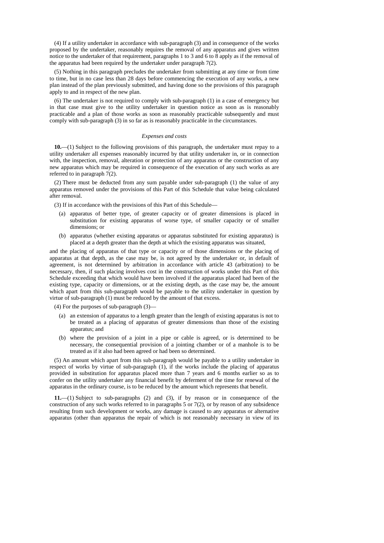(4) If a utility undertaker in accordance with sub-paragraph (3) and in consequence of the works proposed by the undertaker, reasonably requires the removal of any apparatus and gives written notice to the undertaker of that requirement, paragraphs 1 to 3 and 6 to 8 apply as if the removal of the apparatus had been required by the undertaker under paragraph 7(2).

(5) Nothing in this paragraph precludes the undertaker from submitting at any time or from time to time, but in no case less than 28 days before commencing the execution of any works, a new plan instead of the plan previously submitted, and having done so the provisions of this paragraph apply to and in respect of the new plan.

(6) The undertaker is not required to comply with sub-paragraph (1) in a case of emergency but in that case must give to the utility undertaker in question notice as soon as is reasonably practicable and a plan of those works as soon as reasonably practicable subsequently and must comply with sub-paragraph (3) in so far as is reasonably practicable in the circumstances.

### *Expenses and costs*

**10.**—(1) Subject to the following provisions of this paragraph, the undertaker must repay to a utility undertaker all expenses reasonably incurred by that utility undertaker in, or in connection with, the inspection, removal, alteration or protection of any apparatus or the construction of any new apparatus which may be required in consequence of the execution of any such works as are referred to in paragraph 7(2).

(2) There must be deducted from any sum payable under sub-paragraph (1) the value of any apparatus removed under the provisions of this Part of this Schedule that value being calculated after removal.

(3) If in accordance with the provisions of this Part of this Schedule—

- (a) apparatus of better type, of greater capacity or of greater dimensions is placed in substitution for existing apparatus of worse type, of smaller capacity or of smaller dimensions; or
- (b) apparatus (whether existing apparatus or apparatus substituted for existing apparatus) is placed at a depth greater than the depth at which the existing apparatus was situated,

and the placing of apparatus of that type or capacity or of those dimensions or the placing of apparatus at that depth, as the case may be, is not agreed by the undertaker or, in default of agreement, is not determined by arbitration in accordance with article 43 (arbitration) to be necessary, then, if such placing involves cost in the construction of works under this Part of this Schedule exceeding that which would have been involved if the apparatus placed had been of the existing type, capacity or dimensions, or at the existing depth, as the case may be, the amount which apart from this sub-paragraph would be payable to the utility undertaker in question by virtue of sub-paragraph (1) must be reduced by the amount of that excess.

(4) For the purposes of sub-paragraph (3)—

- (a) an extension of apparatus to a length greater than the length of existing apparatus is not to be treated as a placing of apparatus of greater dimensions than those of the existing apparatus; and
- (b) where the provision of a joint in a pipe or cable is agreed, or is determined to be necessary, the consequential provision of a jointing chamber or of a manhole is to be treated as if it also had been agreed or had been so determined.

(5) An amount which apart from this sub-paragraph would be payable to a utility undertaker in respect of works by virtue of sub-paragraph (1), if the works include the placing of apparatus provided in substitution for apparatus placed more than 7 years and 6 months earlier so as to confer on the utility undertaker any financial benefit by deferment of the time for renewal of the apparatus in the ordinary course, is to be reduced by the amount which represents that benefit.

**11.**—(1) Subject to sub-paragraphs (2) and (3), if by reason or in consequence of the construction of any such works referred to in paragraphs  $5$  or  $7(2)$ , or by reason of any subsidence resulting from such development or works, any damage is caused to any apparatus or alternative apparatus (other than apparatus the repair of which is not reasonably necessary in view of its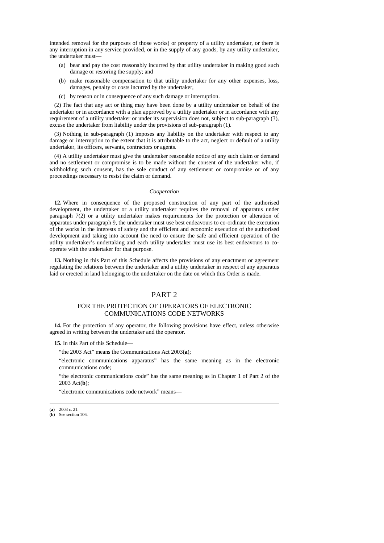intended removal for the purposes of those works) or property of a utility undertaker, or there is any interruption in any service provided, or in the supply of any goods, by any utility undertaker, the undertaker must—

- (a) bear and pay the cost reasonably incurred by that utility undertaker in making good such damage or restoring the supply; and
- (b) make reasonable compensation to that utility undertaker for any other expenses, loss, damages, penalty or costs incurred by the undertaker,
- (c) by reason or in consequence of any such damage or interruption.

(2) The fact that any act or thing may have been done by a utility undertaker on behalf of the undertaker or in accordance with a plan approved by a utility undertaker or in accordance with any requirement of a utility undertaker or under its supervision does not, subject to sub-paragraph (3), excuse the undertaker from liability under the provisions of sub-paragraph (1).

(3) Nothing in sub-paragraph (1) imposes any liability on the undertaker with respect to any damage or interruption to the extent that it is attributable to the act, neglect or default of a utility undertaker, its officers, servants, contractors or agents.

(4) A utility undertaker must give the undertaker reasonable notice of any such claim or demand and no settlement or compromise is to be made without the consent of the undertaker who, if withholding such consent, has the sole conduct of any settlement or compromise or of any proceedings necessary to resist the claim or demand.

### *Cooperation*

**12.** Where in consequence of the proposed construction of any part of the authorised development, the undertaker or a utility undertaker requires the removal of apparatus under paragraph 7(2) or a utility undertaker makes requirements for the protection or alteration of apparatus under paragraph 9, the undertaker must use best endeavours to co-ordinate the execution of the works in the interests of safety and the efficient and economic execution of the authorised development and taking into account the need to ensure the safe and efficient operation of the utility undertaker's undertaking and each utility undertaker must use its best endeavours to cooperate with the undertaker for that purpose.

**13.** Nothing in this Part of this Schedule affects the provisions of any enactment or agreement regulating the relations between the undertaker and a utility undertaker in respect of any apparatus laid or erected in land belonging to the undertaker on the date on which this Order is made.

## PART 2

### FOR THE PROTECTION OF OPERATORS OF ELECTRONIC COMMUNICATIONS CODE NETWORKS

**14.** For the protection of any operator, the following provisions have effect, unless otherwise agreed in writing between the undertaker and the operator.

**15.** In this Part of this Schedule—

"the 2003 Act" means the Communications Act 2003(**a**);

"electronic communications apparatus" has the same meaning as in the electronic communications code;

"the electronic communications code" has the same meaning as in Chapter 1 of Part 2 of the 2003 Act(**b**);

"electronic communications code network" means—

-

<sup>(</sup>**a**) 2003 c. 21. (**b**) See section 106.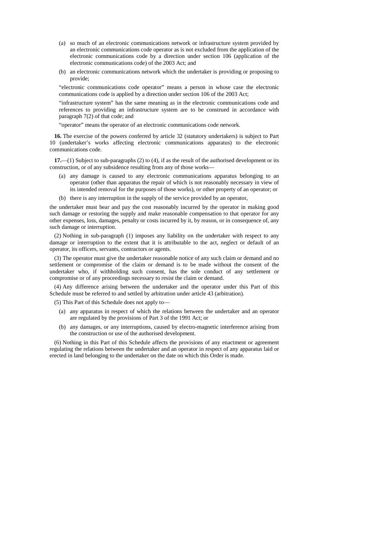- (a) so much of an electronic communications network or infrastructure system provided by an electronic communications code operator as is not excluded from the application of the electronic communications code by a direction under section 106 (application of the electronic communications code) of the 2003 Act; and
- (b) an electronic communications network which the undertaker is providing or proposing to provide;

"electronic communications code operator" means a person in whose case the electronic communications code is applied by a direction under section 106 of the 2003 Act;

"infrastructure system" has the same meaning as in the electronic communications code and references to providing an infrastructure system are to be construed in accordance with paragraph 7(2) of that code; and

"operator" means the operator of an electronic communications code network.

**16.** The exercise of the powers conferred by article 32 (statutory undertakers) is subject to Part 10 (undertaker's works affecting electronic communications apparatus) to the electronic communications code.

**17.**—(1) Subject to sub-paragraphs (2) to (4), if as the result of the authorised development or its construction, or of any subsidence resulting from any of those works—

- (a) any damage is caused to any electronic communications apparatus belonging to an operator (other than apparatus the repair of which is not reasonably necessary in view of its intended removal for the purposes of those works), or other property of an operator; or
- (b) there is any interruption in the supply of the service provided by an operator,

the undertaker must bear and pay the cost reasonably incurred by the operator in making good such damage or restoring the supply and make reasonable compensation to that operator for any other expenses, loss, damages, penalty or costs incurred by it, by reason, or in consequence of, any such damage or interruption.

(2) Nothing in sub-paragraph (1) imposes any liability on the undertaker with respect to any damage or interruption to the extent that it is attributable to the act, neglect or default of an operator, its officers, servants, contractors or agents.

(3) The operator must give the undertaker reasonable notice of any such claim or demand and no settlement or compromise of the claim or demand is to be made without the consent of the undertaker who, if withholding such consent, has the sole conduct of any settlement or compromise or of any proceedings necessary to resist the claim or demand.

(4) Any difference arising between the undertaker and the operator under this Part of this Schedule must be referred to and settled by arbitration under article 43 (arbitration).

(5) This Part of this Schedule does not apply to—

- (a) any apparatus in respect of which the relations between the undertaker and an operator are regulated by the provisions of Part 3 of the 1991 Act; or
- (b) any damages, or any interruptions, caused by electro-magnetic interference arising from the construction or use of the authorised development.

(6) Nothing in this Part of this Schedule affects the provisions of any enactment or agreement regulating the relations between the undertaker and an operator in respect of any apparatus laid or erected in land belonging to the undertaker on the date on which this Order is made.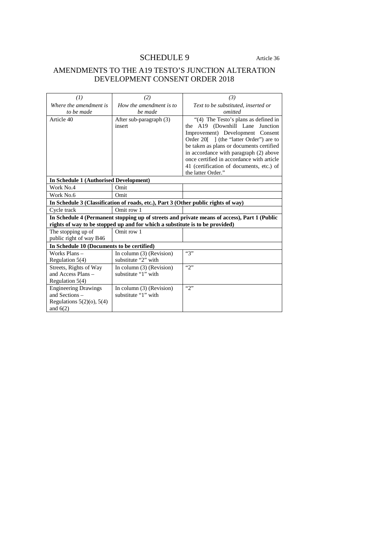## SCHEDULE 9 Article 36

## AMENDMENTS TO THE A19 TESTO'S JUNCTION ALTERATION DEVELOPMENT CONSENT ORDER 2018

| (1)                                                                                          | (2)                        | (3)                                       |  |  |
|----------------------------------------------------------------------------------------------|----------------------------|-------------------------------------------|--|--|
| Where the amendment is                                                                       | How the amendment is to    | Text to be substituted, inserted or       |  |  |
| to be made                                                                                   | be made                    | omitted                                   |  |  |
| Article 40                                                                                   | After sub-paragraph (3)    | "(4) The Testo's plans as defined in      |  |  |
|                                                                                              | insert                     | the A19 (Downhill Lane<br>Junction        |  |  |
|                                                                                              |                            | Improvement) Development Consent          |  |  |
|                                                                                              |                            | Order 20[] (the "latter Order") are to    |  |  |
|                                                                                              |                            | be taken as plans or documents certified  |  |  |
|                                                                                              |                            | in accordance with paragraph (2) above    |  |  |
|                                                                                              |                            | once certified in accordance with article |  |  |
|                                                                                              |                            | 41 (certification of documents, etc.) of  |  |  |
|                                                                                              |                            | the latter Order."                        |  |  |
| In Schedule 1 (Authorised Development)                                                       |                            |                                           |  |  |
| Work No.4                                                                                    | Omit                       |                                           |  |  |
| Work No.6                                                                                    | Omit                       |                                           |  |  |
| In Schedule 3 (Classification of roads, etc.), Part 3 (Other public rights of way)           |                            |                                           |  |  |
| Cycle track                                                                                  | Omit row 1                 |                                           |  |  |
| In Schedule 4 (Permanent stopping up of streets and private means of access), Part 1 (Public |                            |                                           |  |  |
| rights of way to be stopped up and for which a substitute is to be provided)                 |                            |                                           |  |  |
| The stopping up of                                                                           | Omit row 1                 |                                           |  |  |
| public right of way B46                                                                      |                            |                                           |  |  |
| In Schedule 10 (Documents to be certified)                                                   |                            |                                           |  |  |
| Works Plans-                                                                                 | In column (3) (Revision)   | $\lq\lq\lq\lq\lq\lq$                      |  |  |
| Regulation $5(4)$                                                                            | substitute "2" with        |                                           |  |  |
| Streets, Rights of Way                                                                       | In column $(3)$ (Revision) | $\cdots$                                  |  |  |
| and Access Plans -                                                                           | substitute "1" with        |                                           |  |  |
| Regulation $5(4)$                                                                            |                            |                                           |  |  |
| <b>Engineering Drawings</b>                                                                  | In column $(3)$ (Revision) | $\sum$                                    |  |  |
| and Sections -                                                                               | substitute "1" with        |                                           |  |  |
| Regulations $5(2)(o)$ , $5(4)$                                                               |                            |                                           |  |  |
| and $6(2)$                                                                                   |                            |                                           |  |  |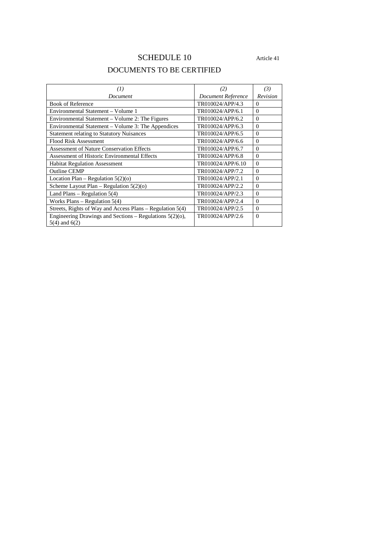SCHEDULE 10 Article 41

| (I)                                                                              | (2)                       | (3)      |
|----------------------------------------------------------------------------------|---------------------------|----------|
| Document                                                                         | <b>Document Reference</b> | Revision |
| <b>Book of Reference</b>                                                         | TR010024/APP/4.3          | $\Omega$ |
| Environmental Statement – Volume 1                                               | TR010024/APP/6.1          | $\Omega$ |
| Environmental Statement – Volume 2: The Figures                                  | TR010024/APP/6.2          | $\Omega$ |
| Environmental Statement – Volume 3: The Appendices                               | TR010024/APP/6.3          | $\Omega$ |
| <b>Statement relating to Statutory Nuisances</b>                                 | TR010024/APP/6.5          | $\Omega$ |
| Flood Risk Assessment                                                            | TR010024/APP/6.6          | $\Omega$ |
| Assessment of Nature Conservation Effects                                        | TR010024/APP/6.7          | $\Omega$ |
| Assessment of Historic Environmental Effects                                     | TR010024/APP/6.8          | $\Omega$ |
| <b>Habitat Regulation Assessment</b>                                             | TR010024/APP/6.10         | $\Omega$ |
| <b>Outline CEMP</b>                                                              | TR010024/APP/7.2          | $\Omega$ |
| Location Plan – Regulation $5(2)(o)$                                             | TR010024/APP/2.1          | $\Omega$ |
| Scheme Layout Plan – Regulation $5(2)(o)$                                        | TR010024/APP/2.2          | $\Omega$ |
| Land Plans – Regulation $5(4)$                                                   | TR010024/APP/2.3          | $\Omega$ |
| Works Plans – Regulation $5(4)$                                                  | TR010024/APP/2.4          | $\Omega$ |
| Streets, Rights of Way and Access Plans – Regulation 5(4)                        | TR010024/APP/2.5          | $\Omega$ |
| Engineering Drawings and Sections – Regulations $5(2)(o)$ ,<br>$5(4)$ and $6(2)$ | TR010024/APP/2.6          | $\Omega$ |

## DOCUMENTS TO BE CERTIFIED